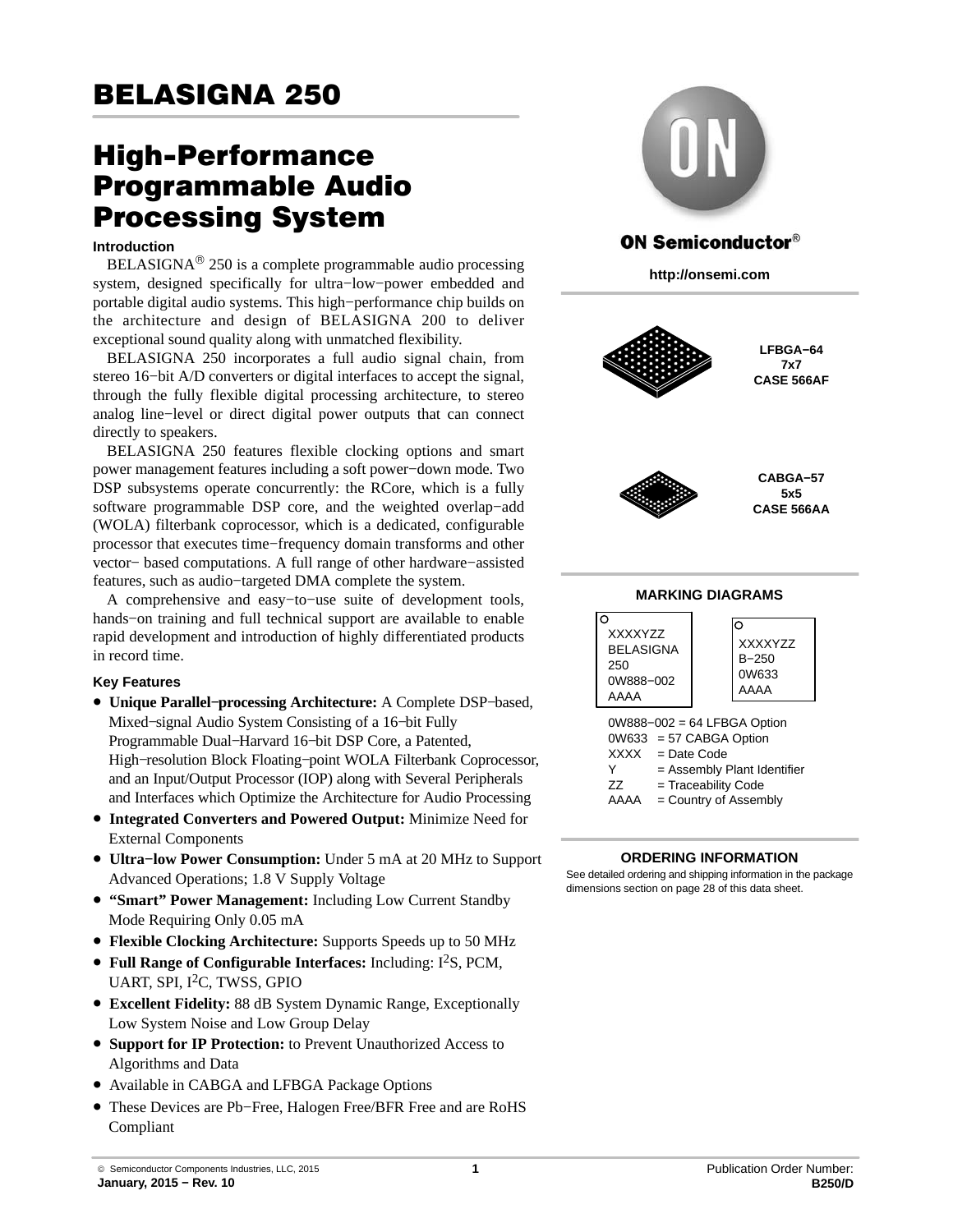# High-Performance Programmable Audio Processing System

#### **Introduction**

BELASIGNA® 250 is a complete programmable audio processing system, designed specifically for ultra−low−power embedded and portable digital audio systems. This high−performance chip builds on the architecture and design of BELASIGNA 200 to deliver exceptional sound quality along with unmatched flexibility.

BELASIGNA 250 incorporates a full audio signal chain, from stereo 16−bit A/D converters or digital interfaces to accept the signal, through the fully flexible digital processing architecture, to stereo analog line−level or direct digital power outputs that can connect directly to speakers.

BELASIGNA 250 features flexible clocking options and smart power management features including a soft power−down mode. Two DSP subsystems operate concurrently: the RCore, which is a fully software programmable DSP core, and the weighted overlap−add (WOLA) filterbank coprocessor, which is a dedicated, configurable processor that executes time−frequency domain transforms and other vector− based computations. A full range of other hardware−assisted features, such as audio−targeted DMA complete the system.

A comprehensive and easy−to−use suite of development tools, hands−on training and full technical support are available to enable rapid development and introduction of highly differentiated products in record time.

### **Key Features**

- **Unique Parallel−processing Architecture:** A Complete DSP−based, Mixed−signal Audio System Consisting of a 16−bit Fully Programmable Dual−Harvard 16−bit DSP Core, a Patented, High−resolution Block Floating−point WOLA Filterbank Coprocessor, and an Input/Output Processor (IOP) along with Several Peripherals and Interfaces which Optimize the Architecture for Audio Processing
- **Integrated Converters and Powered Output:** Minimize Need for External Components
- **Ultra−low Power Consumption:** Under 5 mA at 20 MHz to Support Advanced Operations; 1.8 V Supply Voltage
- **"Smart" Power Management:** Including Low Current Standby Mode Requiring Only 0.05 mA
- **Flexible Clocking Architecture:** Supports Speeds up to 50 MHz
- **Full Range of Configurable Interfaces:** Including:  $I^2S$ , PCM, UART, SPI, I<sup>2</sup>C, TWSS, GPIO
- **Excellent Fidelity:** 88 dB System Dynamic Range, Exceptionally Low System Noise and Low Group Delay
- **Support for IP Protection:** to Prevent Unauthorized Access to Algorithms and Data
- Available in CABGA and LFBGA Package Options
- These Devices are Pb−Free, Halogen Free/BFR Free and are RoHS Compliant



## **ON Semiconductor®**

**http://onsemi.com**



**LFBGA−64 7x7 CASE 566AF**



**CABGA−57 5x5 CASE 566AA**

## **MARKING DIAGRAMS**

| <b>XXXXYZZ</b><br><b>BELASIGNA</b><br>250<br>0W888-002<br><b>AAAA</b> | റ<br><b>XXXXYZZ</b><br>$B - 250$<br>0W633<br>AAAA                                                                                                      |
|-----------------------------------------------------------------------|--------------------------------------------------------------------------------------------------------------------------------------------------------|
| XXXX<br>Y<br>77<br>AAAA                                               | 0W888-002 = 64 LFBGA Option<br>0W633 = 57 CABGA Option<br>$=$ Date Code<br>= Assembly Plant Identifier<br>= Traceability Code<br>= Country of Assembly |

### **ORDERING INFORMATION**

See detailed ordering and shipping information in the package dimensions section on page [28](#page-27-0) of this data sheet.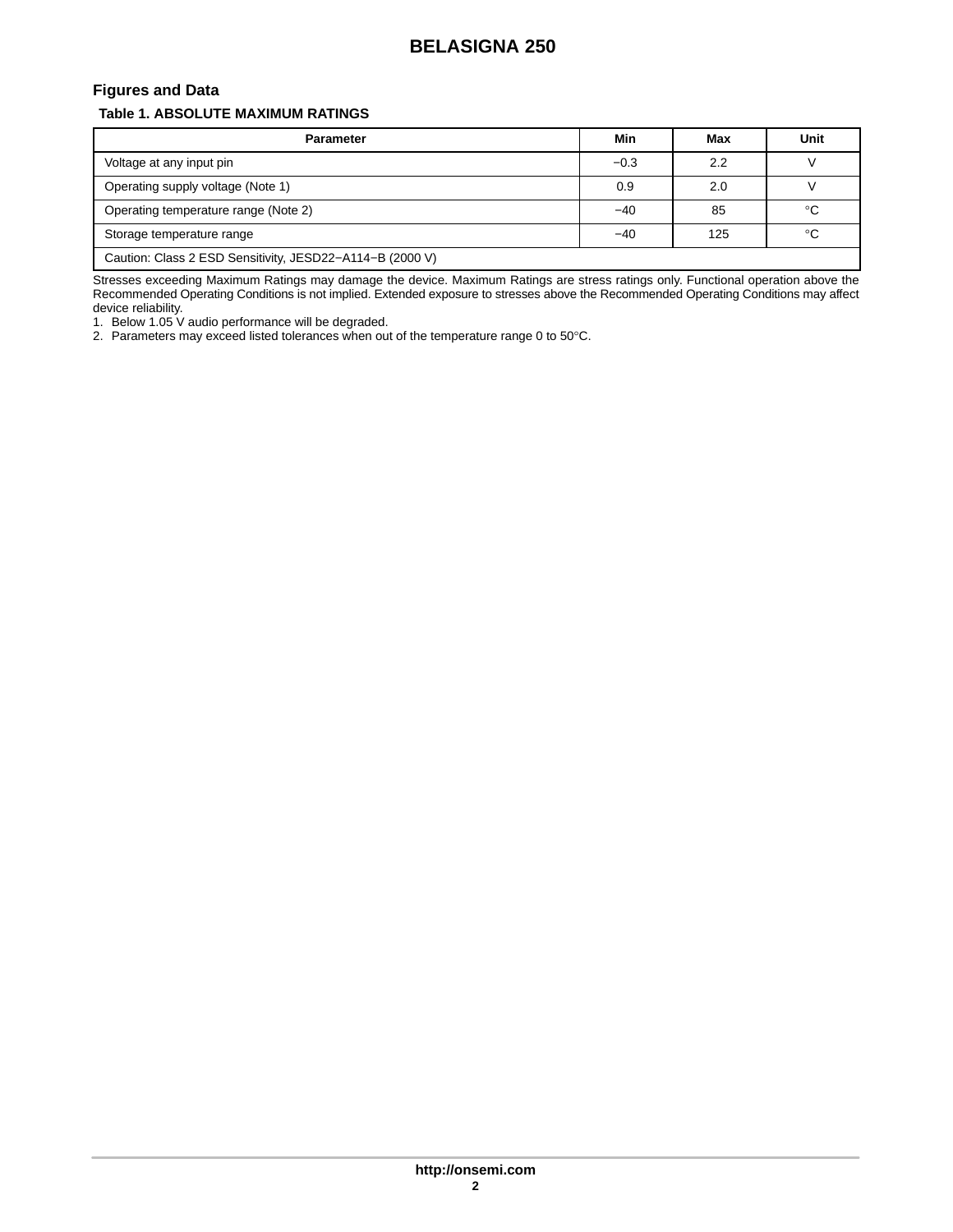## **Figures and Data**

## **Table 1. ABSOLUTE MAXIMUM RATINGS**

| <b>Parameter</b>                                         | Min    | Max | Unit        |
|----------------------------------------------------------|--------|-----|-------------|
| Voltage at any input pin                                 | $-0.3$ | 2.2 |             |
| Operating supply voltage (Note 1)                        | 0.9    | 2.0 |             |
| Operating temperature range (Note 2)                     | -40    | 85  | $^{\circ}C$ |
| Storage temperature range                                | $-40$  | 125 | $^{\circ}C$ |
| Caution: Class 2 ESD Sensitivity, JESD22-A114-B (2000 V) |        |     |             |

Stresses exceeding Maximum Ratings may damage the device. Maximum Ratings are stress ratings only. Functional operation above the Recommended Operating Conditions is not implied. Extended exposure to stresses above the Recommended Operating Conditions may affect device reliability.

1. Below 1.05 V audio performance will be degraded.

2. Parameters may exceed listed tolerances when out of the temperature range 0 to 50 $^{\circ}$ C.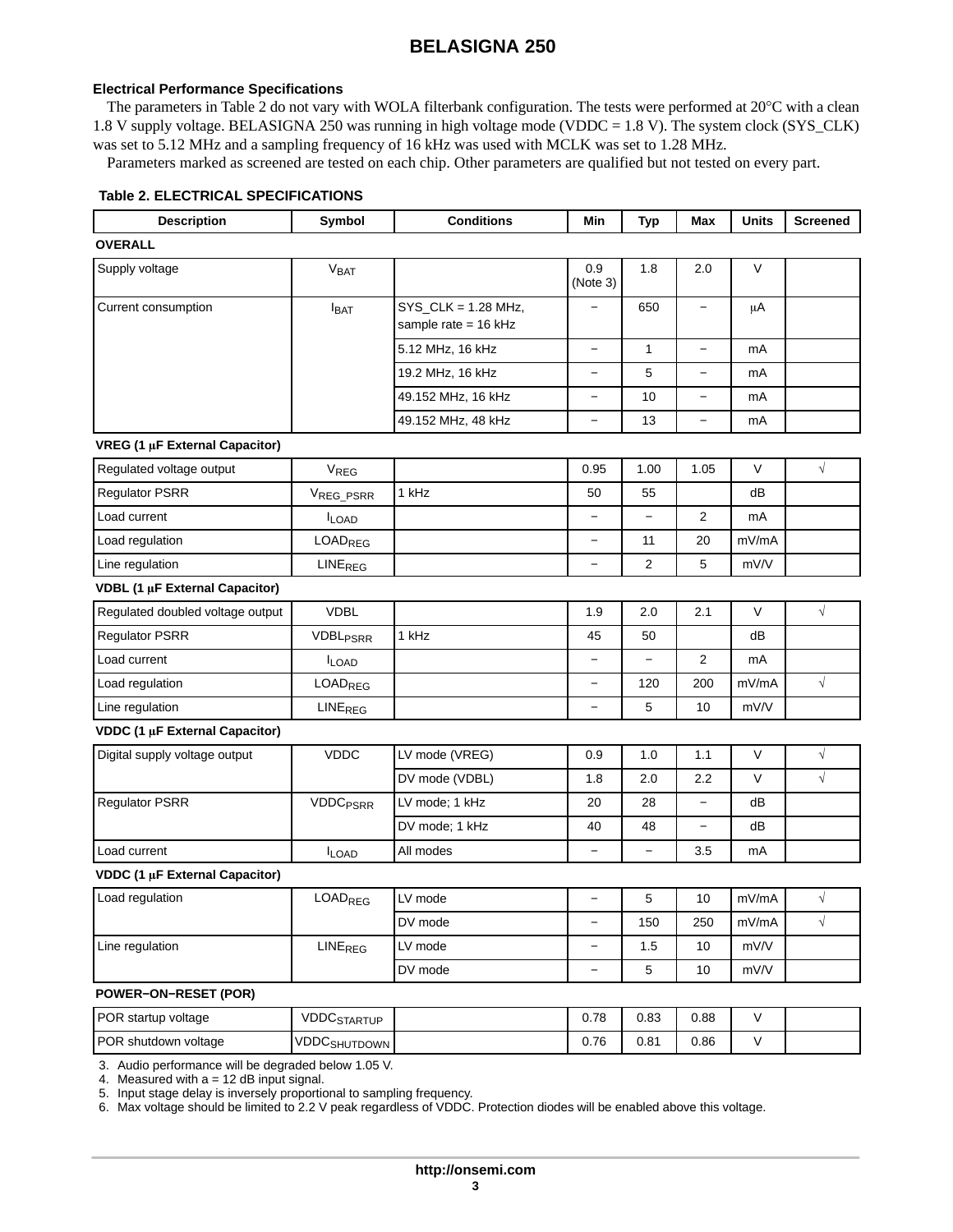#### <span id="page-2-0"></span>**Electrical Performance Specifications**

The parameters in Table 2 do not vary with WOLA filterbank configuration. The tests were performed at 20°C with a clean 1.8 V supply voltage. BELASIGNA 250 was running in high voltage mode (VDDC = 1.8 V). The system clock (SYS\_CLK) was set to 5.12 MHz and a sampling frequency of 16 kHz was used with MCLK was set to 1.28 MHz.

Parameters marked as screened are tested on each chip. Other parameters are qualified but not tested on every part.

## **Table 2. ELECTRICAL SPECIFICATIONS**

| <b>Description</b>                    | Symbol                     | <b>Conditions</b>                                | Min                      | <b>Typ</b>               | Max                      | <b>Units</b> | <b>Screened</b> |
|---------------------------------------|----------------------------|--------------------------------------------------|--------------------------|--------------------------|--------------------------|--------------|-----------------|
| <b>OVERALL</b>                        |                            |                                                  |                          |                          |                          |              |                 |
| Supply voltage                        | V <sub>BAT</sub>           |                                                  | 0.9<br>(Note 3)          | 1.8                      | 2.0                      | $\mathsf V$  |                 |
| Current consumption                   | I <sub>BAT</sub>           | $SYS_CLK = 1.28 MHz$ ,<br>sample rate = $16$ kHz |                          | 650                      |                          | $\mu$ A      |                 |
|                                       |                            | 5.12 MHz, 16 kHz                                 | $\qquad \qquad -$        | $\mathbf{1}$             | $\overline{\phantom{0}}$ | mA           |                 |
|                                       |                            | 19.2 MHz, 16 kHz                                 |                          | 5                        |                          | mA           |                 |
|                                       |                            | 49.152 MHz, 16 kHz                               | $\qquad \qquad -$        | 10                       | $\qquad \qquad -$        | mA           |                 |
|                                       |                            | 49.152 MHz, 48 kHz                               |                          | 13                       | $\overline{\phantom{0}}$ | mA           |                 |
| VREG (1 µF External Capacitor)        |                            |                                                  |                          |                          |                          |              |                 |
| Regulated voltage output              | $V_{REG}$                  |                                                  | 0.95                     | 1.00                     | 1.05                     | V            | $\sqrt{}$       |
| <b>Regulator PSRR</b>                 | VREG_PSRR                  | 1 kHz                                            | 50                       | 55                       |                          | dB           |                 |
| Load current                          | <b>ILOAD</b>               |                                                  | $\qquad \qquad -$        | $\overline{\phantom{0}}$ | 2                        | mA           |                 |
| Load regulation                       | <b>LOADREG</b>             |                                                  |                          | 11                       | 20                       | mV/mA        |                 |
| Line regulation                       | <b>LINE<sub>REG</sub></b>  |                                                  | $\overline{\phantom{0}}$ | 2                        | 5                        | mV/V         |                 |
| VDBL (1 µF External Capacitor)        |                            |                                                  |                          |                          |                          |              |                 |
| Regulated doubled voltage output      | <b>VDBL</b>                |                                                  | 1.9                      | 2.0                      | 2.1                      | $\vee$       | $\sqrt{}$       |
| <b>Regulator PSRR</b>                 | <b>VDBL<sub>PSRR</sub></b> | 1 kHz                                            | 45                       | 50                       |                          | dB           |                 |
| Load current                          | <b>ILOAD</b>               |                                                  | $\overline{\phantom{0}}$ | $\overline{\phantom{0}}$ | 2                        | mA           |                 |
| Load regulation                       | <b>LOADREG</b>             |                                                  | $\overline{\phantom{0}}$ | 120                      | 200                      | mV/mA        | $\sqrt{}$       |
| Line regulation                       | LINE <sub>REG</sub>        |                                                  | $\overline{\phantom{0}}$ | 5                        | 10                       | mV/V         |                 |
| <b>VDDC (1 µF External Capacitor)</b> |                            |                                                  |                          |                          |                          |              |                 |
| Digital supply voltage output         | <b>VDDC</b>                | LV mode (VREG)                                   | 0.9                      | 1.0                      | 1.1                      | $\vee$       | $\sqrt{}$       |
|                                       |                            | DV mode (VDBL)                                   | 1.8                      | 2.0                      | 2.2                      | V            | $\sqrt{}$       |
| <b>Regulator PSRR</b>                 | <b>VDDC<sub>PSRR</sub></b> | LV mode; 1 kHz                                   | 20                       | 28                       | $\qquad \qquad -$        | dB           |                 |
|                                       |                            | DV mode; 1 kHz                                   | 40                       | 48                       | $\overline{\phantom{0}}$ | dB           |                 |
| Load current                          | <b>ILOAD</b>               | All modes                                        | $\overline{\phantom{0}}$ | $\overline{\phantom{0}}$ | 3.5                      | mA           |                 |
| VDDC (1 µF External Capacitor)        |                            |                                                  |                          |                          |                          |              |                 |
| Load regulation                       | LOAD <sub>REG</sub>        | LV mode                                          | -                        | 5                        | 10                       | mV/mA        | $\sqrt{}$       |
|                                       |                            | DV mode                                          | $\overline{\phantom{0}}$ | 150                      | 250                      | mV/mA        | $\sqrt{}$       |
| Line regulation                       | LINE <sub>REG</sub>        | LV mode                                          | $\qquad \qquad -$        | 1.5                      | 10                       | mV/V         |                 |
|                                       |                            | DV mode                                          |                          | 5                        | 10                       | mV/V         |                 |
| <b>POWER-ON-RESET (POR)</b>           |                            |                                                  |                          |                          |                          |              |                 |
| POR startup voltage                   | <b>VDDCSTARTUP</b>         |                                                  | 0.78                     | 0.83                     | 0.88                     | $\vee$       |                 |
| POR shutdown voltage                  | <b>VDDC</b> SHUTDOWN       |                                                  | 0.76                     | 0.81                     | 0.86                     | $\mathsf{V}$ |                 |

[3](#page-5-0). Audio performance will be degraded below 1.05 V.

[4](#page-5-0). Measured with a = 12 dB input signal.

[5](#page-5-0). Input stage delay is inversely proportional to sampling frequency.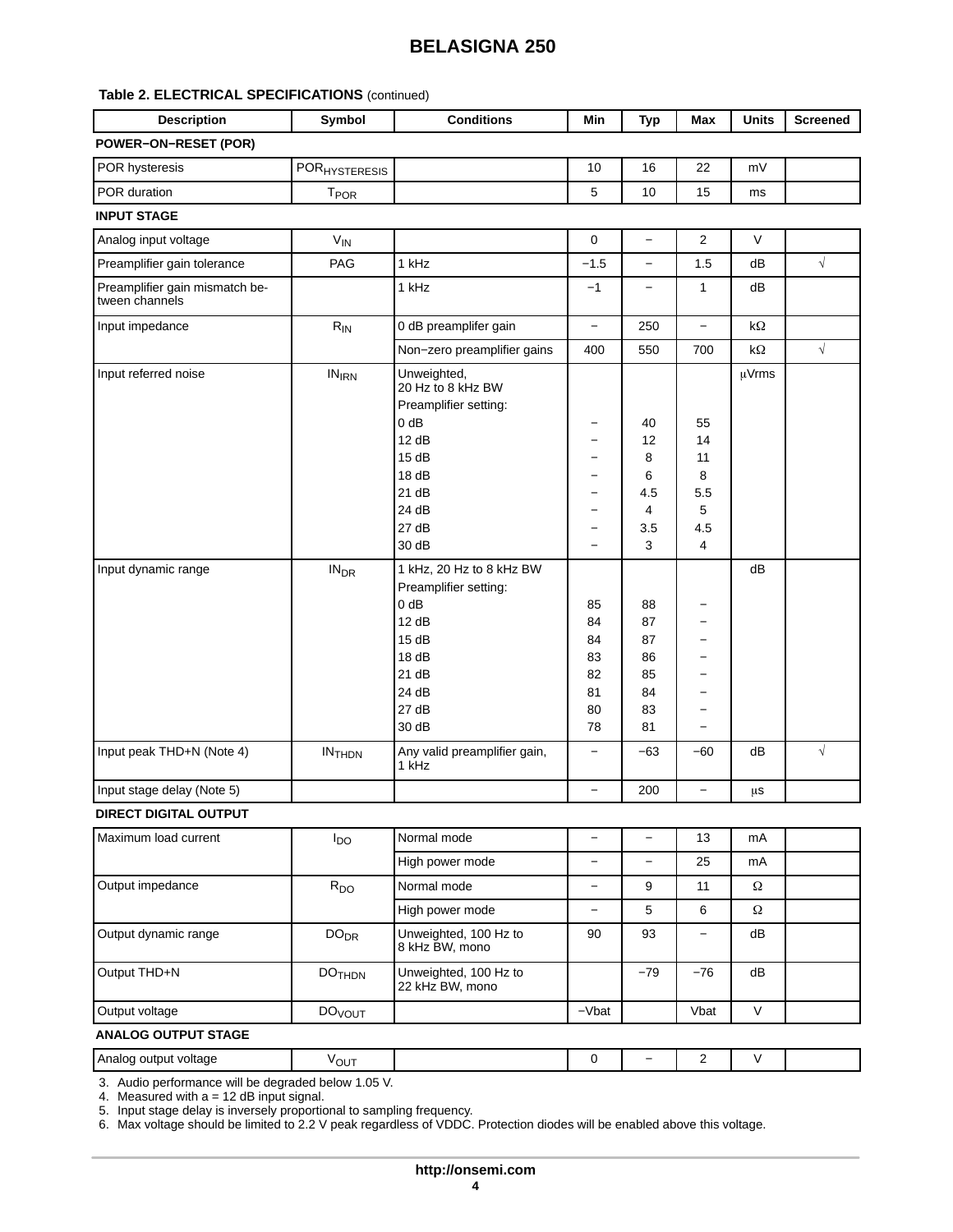### **Table [2.](#page-2-0) ELECTRICAL SPECIFICATIONS** (continued)

| <b>Description</b>          | Symbol                        | <b>Conditions</b> | Min | Typ | Max | <b>Units</b> | <b>Screened</b> |
|-----------------------------|-------------------------------|-------------------|-----|-----|-----|--------------|-----------------|
| <b>POWER-ON-RESET (POR)</b> |                               |                   |     |     |     |              |                 |
| <b>POR hysteresis</b>       | I POR <sub>HYSTERESIS</sub> I |                   | 10  | 16  | 22  | mV           |                 |
| POR duration                | $\mathsf{T_{POR}}$            |                   |     | 10  | 15  | ms           |                 |
| <b>INPLIT STAGE</b>         |                               |                   |     |     |     |              |                 |

#### **INPUT STAGE**

| Analog input voltage                             | $V_{IN}$               |                                                                                                                                 | $\mathbf 0$                                                                                                       | $\overline{\phantom{0}}$                     | 2                                           | V                  |            |
|--------------------------------------------------|------------------------|---------------------------------------------------------------------------------------------------------------------------------|-------------------------------------------------------------------------------------------------------------------|----------------------------------------------|---------------------------------------------|--------------------|------------|
| Preamplifier gain tolerance                      | PAG                    | 1 kHz                                                                                                                           | $-1.5$                                                                                                            | $\equiv$                                     | 1.5                                         | dB                 | $\sqrt{ }$ |
| Preamplifier gain mismatch be-<br>tween channels |                        | 1 kHz                                                                                                                           | $-1$                                                                                                              | $\qquad \qquad -$                            | 1                                           | dB                 |            |
| Input impedance                                  | $R_{IN}$               | 0 dB preamplifer gain                                                                                                           | $\equiv$                                                                                                          | 250                                          | $\overline{\phantom{0}}$                    | $k\Omega$          |            |
|                                                  |                        | Non-zero preamplifier gains                                                                                                     | 400                                                                                                               | 550                                          | 700                                         | $\mathsf{k}\Omega$ | $\sqrt{}$  |
| Input referred noise                             | $IN_{IRN}$             | Unweighted,<br>20 Hz to 8 kHz BW<br>Preamplifier setting:<br>$0$ dB<br>12 dB<br>15dB<br>18dB<br>21 dB<br>24 dB<br>27dB<br>30 dB | —<br>$\overline{\phantom{0}}$<br>$\overline{\phantom{0}}$<br>$\overline{\phantom{0}}$<br>$\overline{\phantom{0}}$ | 40<br>12<br>8<br>6<br>4.5<br>4<br>3.5<br>3   | 55<br>14<br>11<br>8<br>5.5<br>5<br>4.5<br>4 | µVrms              |            |
| Input dynamic range                              | <b>IN<sub>DR</sub></b> | 1 kHz, 20 Hz to 8 kHz BW<br>Preamplifier setting:<br>$0$ dB<br>12 dB<br>15dB<br>18dB<br>21 dB<br>24 dB<br>27dB<br>30 dB         | 85<br>84<br>84<br>83<br>82<br>81<br>80<br>78                                                                      | 88<br>87<br>87<br>86<br>85<br>84<br>83<br>81 | $\overline{\phantom{0}}$                    | dB                 |            |
| Input peak THD+N (Note 4)                        | $IN$ <sub>THDN</sub>   | Any valid preamplifier gain,<br>1 kHz                                                                                           | $\overline{\phantom{0}}$                                                                                          | $-63$                                        | $-60$                                       | dB                 | $\sqrt{}$  |
| Input stage delay (Note 5)                       |                        |                                                                                                                                 |                                                                                                                   | 200                                          | $\equiv$                                    | μs                 |            |

#### **DIRECT DIGITAL OUTPUT**

| Maximum load current | l <sub>DO</sub>          | Normal mode                              |         |       | 13    | mA     |  |
|----------------------|--------------------------|------------------------------------------|---------|-------|-------|--------|--|
|                      |                          | High power mode                          |         |       | 25    | mA     |  |
| Output impedance     | $R_{DO}$                 | Normal mode                              |         | 9     | 11    | Ω      |  |
|                      |                          | High power mode                          |         | 5     | 6     | Ω      |  |
| Output dynamic range | DO <sub>DR</sub>         | Unweighted, 100 Hz to<br>8 kHz BW, mono  | 90      | 93    | -     | dB     |  |
| Output THD+N         | <b>DOTHDN</b>            | Unweighted, 100 Hz to<br>22 kHz BW, mono |         | $-79$ | $-76$ | dB     |  |
| Output voltage       | <b>DO<sub>VOUT</sub></b> |                                          | $-Vbat$ |       | Vbat  | $\vee$ |  |

## **ANALOG OUTPUT STAGE**

| Analoo<br>voltage<br>outou<br>. . | <b>VOUT</b>                    |  | - | - |  |
|-----------------------------------|--------------------------------|--|---|---|--|
| .<br>$\sim$                       | $\cdot$ $\sim$ $\cdot$ $\cdot$ |  |   |   |  |

[3](#page-5-0). Audio performance will be degraded below 1.05 V.

[4](#page-5-0). Measured with a = 12 dB input signal.

[5](#page-5-0). Input stage delay is inversely proportional to sampling frequency.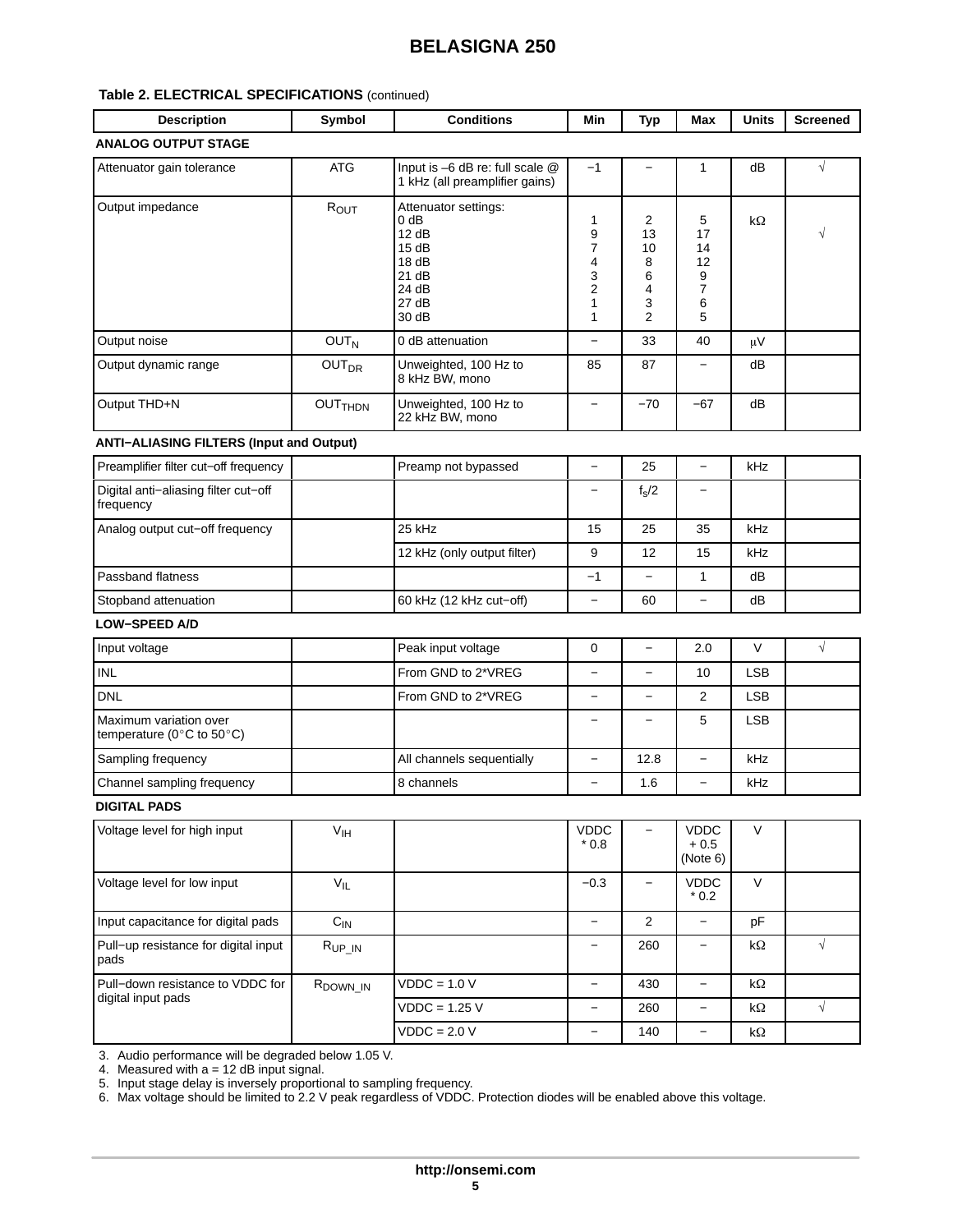### **Table [2.](#page-2-0) ELECTRICAL SPECIFICATIONS** (continued)

| <b>Description</b>                                                       | Symbol                    | <b>Conditions</b>                                                                          | Min                                                            | <b>Typ</b>                                          | Max                                     | <b>Units</b> | <b>Screened</b> |
|--------------------------------------------------------------------------|---------------------------|--------------------------------------------------------------------------------------------|----------------------------------------------------------------|-----------------------------------------------------|-----------------------------------------|--------------|-----------------|
| <b>ANALOG OUTPUT STAGE</b>                                               |                           |                                                                                            |                                                                |                                                     |                                         |              |                 |
| Attenuator gain tolerance                                                | <b>ATG</b>                | Input is -6 dB re: full scale @<br>1 kHz (all preamplifier gains)                          | $-1$                                                           | —                                                   | 1                                       | dB           | $\sqrt{}$       |
| Output impedance                                                         | $R_{OUT}$                 | Attenuator settings:<br>$0$ dB<br>12 dB<br>15dB<br>18dB<br>21 dB<br>24 dB<br>27dB<br>30 dB | 1<br>9<br>$\overline{7}$<br>4<br>3<br>$\overline{2}$<br>1<br>1 | 2<br>13<br>10<br>8<br>6<br>4<br>3<br>$\overline{2}$ | 5<br>17<br>14<br>12<br>9<br>7<br>6<br>5 | kΩ           | $\sqrt{}$       |
| Output noise                                                             | OUT <sub>N</sub>          | 0 dB attenuation                                                                           | $\overline{\phantom{0}}$                                       | 33                                                  | 40                                      | $\mu V$      |                 |
| Output dynamic range                                                     | <b>OUT<sub>DR</sub></b>   | Unweighted, 100 Hz to<br>8 kHz BW, mono                                                    | 85                                                             | 87                                                  | $\overline{\phantom{0}}$                | dB           |                 |
| Output THD+N                                                             | <b>OUT<sub>THDN</sub></b> | Unweighted, 100 Hz to<br>22 kHz BW, mono                                                   |                                                                | $-70$                                               | $-67$                                   | dB           |                 |
| <b>ANTI-ALIASING FILTERS (Input and Output)</b>                          |                           |                                                                                            |                                                                |                                                     |                                         |              |                 |
| Preamplifier filter cut-off frequency                                    |                           | Preamp not bypassed                                                                        | $\overline{\phantom{0}}$                                       | 25                                                  | $\equiv$                                | kHz          |                 |
| Digital anti-aliasing filter cut-off<br>frequency                        |                           |                                                                                            | $\overline{\phantom{0}}$                                       | $f_s/2$                                             | $\overline{\phantom{0}}$                |              |                 |
| Analog output cut-off frequency                                          |                           | 25 kHz                                                                                     | 15                                                             | 25                                                  | 35                                      | kHz          |                 |
|                                                                          |                           | 12 kHz (only output filter)                                                                | 9                                                              | 12                                                  | 15                                      | kHz          |                 |
| Passband flatness                                                        |                           |                                                                                            | $-1$                                                           |                                                     | $\mathbf{1}$                            | dB           |                 |
| Stopband attenuation                                                     |                           | 60 kHz (12 kHz cut-off)                                                                    | $\overline{\phantom{0}}$                                       | 60                                                  | $\overline{\phantom{0}}$                | dB           |                 |
| <b>LOW-SPEED A/D</b>                                                     |                           |                                                                                            |                                                                |                                                     |                                         |              |                 |
| Input voltage                                                            |                           | Peak input voltage                                                                         | 0                                                              | $\qquad \qquad -$                                   | 2.0                                     | V            | $\sqrt{}$       |
| <b>INL</b>                                                               |                           | From GND to 2*VREG                                                                         | $\overline{\phantom{0}}$                                       | —                                                   | 10                                      | <b>LSB</b>   |                 |
| <b>DNL</b>                                                               |                           | From GND to 2*VREG                                                                         | $\overline{\phantom{0}}$                                       | $\overline{\phantom{0}}$                            | 2                                       | <b>LSB</b>   |                 |
| Maximum variation over<br>temperature ( $0^{\circ}$ C to $50^{\circ}$ C) |                           |                                                                                            | $\overline{\phantom{0}}$                                       | $\overline{\phantom{0}}$                            | 5                                       | <b>LSB</b>   |                 |
| Sampling frequency                                                       |                           | All channels sequentially                                                                  | $\overline{\phantom{0}}$                                       | 12.8                                                | $\overline{\phantom{0}}$                | kHz          |                 |
| Channel sampling frequency                                               |                           | 8 channels                                                                                 |                                                                | 1.6                                                 | $\overline{\phantom{0}}$                | kHz          |                 |
| <b>DIGITAL PADS</b>                                                      |                           |                                                                                            |                                                                |                                                     |                                         |              |                 |
| Voltage level for high input                                             | $V_{\text{IH}}$           |                                                                                            | <b>VDDC</b><br>$*0.8$                                          |                                                     | <b>VDDC</b><br>$+0.5$<br>(Note 6)       | V            |                 |
| Voltage level for low input                                              | $V_{IL}$                  |                                                                                            | $-0.3$                                                         | $\overline{\phantom{0}}$                            | <b>VDDC</b><br>$*0.2$                   | $\vee$       |                 |
| Input capacitance for digital pads                                       | $C_{IN}$                  |                                                                                            | $\overline{\phantom{0}}$                                       | $\overline{2}$                                      | $\overline{\phantom{0}}$                | pF           |                 |
| Pull-up resistance for digital input<br>pads                             | $R_{UP\_IN}$              |                                                                                            | -                                                              | 260                                                 | -                                       | kΩ           | $\sqrt{}$       |
| Pull-down resistance to VDDC for                                         | R <sub>DOWN_IN</sub>      | $VDDC = 1.0 V$                                                                             | $\overline{\phantom{a}}$                                       | 430                                                 | $\overline{\phantom{0}}$                | $k\Omega$    |                 |
| digital input pads                                                       |                           | $VDDC = 1.25 V$                                                                            | $\qquad \qquad -$                                              | 260                                                 | $\overline{\phantom{0}}$                | $k\Omega$    | $\sqrt{}$       |
|                                                                          |                           | $VDDC = 2.0 V$                                                                             |                                                                | 140                                                 | $\overline{\phantom{0}}$                | k $\Omega$   |                 |

[3](#page-5-0). Audio performance will be degraded below 1.05 V.

[4](#page-5-0). Measured with a = 12 dB input signal.

[5](#page-5-0). Input stage delay is inversely proportional to sampling frequency.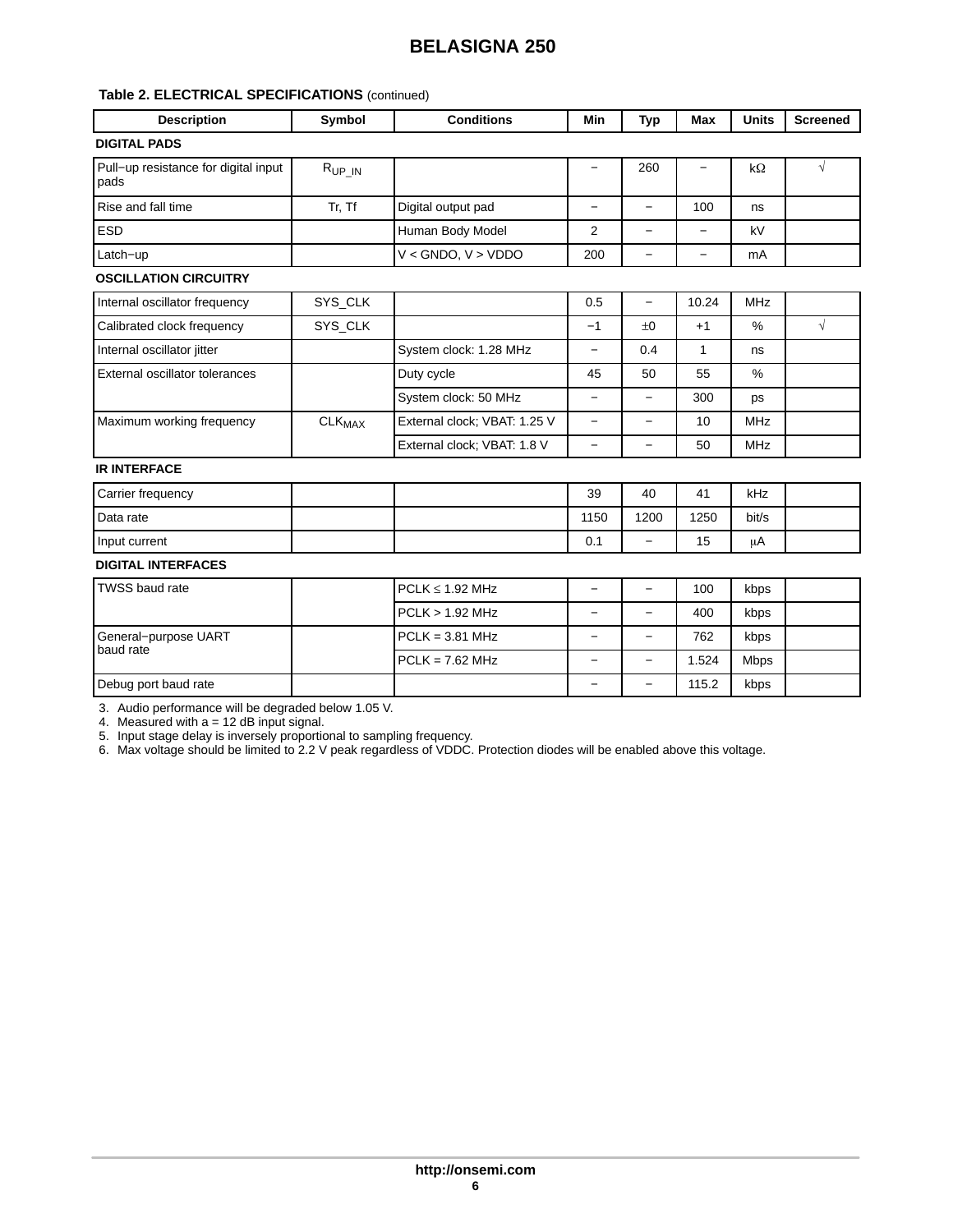## <span id="page-5-0"></span>**Table [2.](#page-2-0) ELECTRICAL SPECIFICATIONS** (continued)

| <b>Description</b>                           | Symbol                   | <b>Conditions</b>            | Min                      | <b>Typ</b>               | <b>Max</b>               | <b>Units</b>  | <b>Screened</b> |
|----------------------------------------------|--------------------------|------------------------------|--------------------------|--------------------------|--------------------------|---------------|-----------------|
| <b>DIGITAL PADS</b>                          |                          |                              |                          |                          |                          |               |                 |
| Pull-up resistance for digital input<br>pads | $R_{UP IN}$              |                              | $\qquad \qquad -$        | 260                      |                          | $k\Omega$     | $\sqrt{ }$      |
| Rise and fall time                           | Tr, Tf                   | Digital output pad           | $\overline{\phantom{0}}$ | $\equiv$                 | 100                      | ns            |                 |
| <b>ESD</b>                                   |                          | Human Body Model             | 2                        | $\overline{\phantom{0}}$ | $\overline{\phantom{0}}$ | kV            |                 |
| Latch-up                                     |                          | $V <$ GNDO, $V >$ VDDO       | 200                      | -                        | $\overline{\phantom{0}}$ | mA            |                 |
| <b>OSCILLATION CIRCUITRY</b>                 |                          |                              |                          |                          |                          |               |                 |
| Internal oscillator frequency                | SYS_CLK                  |                              | 0.5                      | $\overline{\phantom{0}}$ | 10.24                    | <b>MHz</b>    |                 |
| Calibrated clock frequency                   | SYS_CLK                  |                              | $-1$                     | ±0                       | $+1$                     | $\%$          | $\sqrt{}$       |
| Internal oscillator jitter                   |                          | System clock: 1.28 MHz       | $\overline{\phantom{0}}$ | 0.4                      | 1                        | ns            |                 |
| External oscillator tolerances               |                          | Duty cycle                   | 45                       | 50                       | 55                       | $\frac{0}{0}$ |                 |
|                                              |                          | System clock: 50 MHz         | $\overline{\phantom{0}}$ | -                        | 300                      | ps            |                 |
| Maximum working frequency                    | <b>CLK<sub>MAX</sub></b> | External clock; VBAT: 1.25 V |                          | $\overline{\phantom{0}}$ | 10                       | <b>MHz</b>    |                 |
|                                              |                          | External clock; VBAT: 1.8 V  | $\overline{\phantom{0}}$ | -                        | 50                       | <b>MHz</b>    |                 |
| <b>IR INTERFACE</b>                          |                          |                              |                          |                          |                          |               |                 |
| Carrier frequency                            |                          |                              | 39                       | 40                       | 41                       | kHz           |                 |
| Data rate                                    |                          |                              | 1150                     | 1200                     | 1250                     | bit/s         |                 |
| Input current                                |                          |                              | 0.1                      | -                        | 15                       | μA            |                 |
| <b>DIGITAL INTERFACES</b>                    |                          |                              |                          |                          |                          |               |                 |
| <b>TWSS baud rate</b>                        |                          | $PCLK \leq 1.92$ MHz         | $\overline{\phantom{0}}$ | $\overline{\phantom{0}}$ | 100                      | kbps          |                 |
|                                              |                          | <b>PCLK &gt; 1.92 MHz</b>    | $\overline{\phantom{0}}$ | -                        | 400                      | kbps          |                 |
| General-purpose UART                         |                          | $PCLK = 3.81 MHz$            | $\overline{\phantom{0}}$ | -                        | 762                      | kbps          |                 |
| baud rate                                    |                          | $PCLK = 7.62 MHz$            | $\overline{\phantom{0}}$ | $\overline{\phantom{0}}$ | 1.524                    | <b>Mbps</b>   |                 |
| Debug port baud rate                         |                          |                              | $\overline{\phantom{0}}$ | $\overline{\phantom{0}}$ | 115.2                    | kbps          |                 |

3. Audio performance will be degraded below 1.05 V.

4. Measured with a = 12 dB input signal.

5. Input stage delay is inversely proportional to sampling frequency.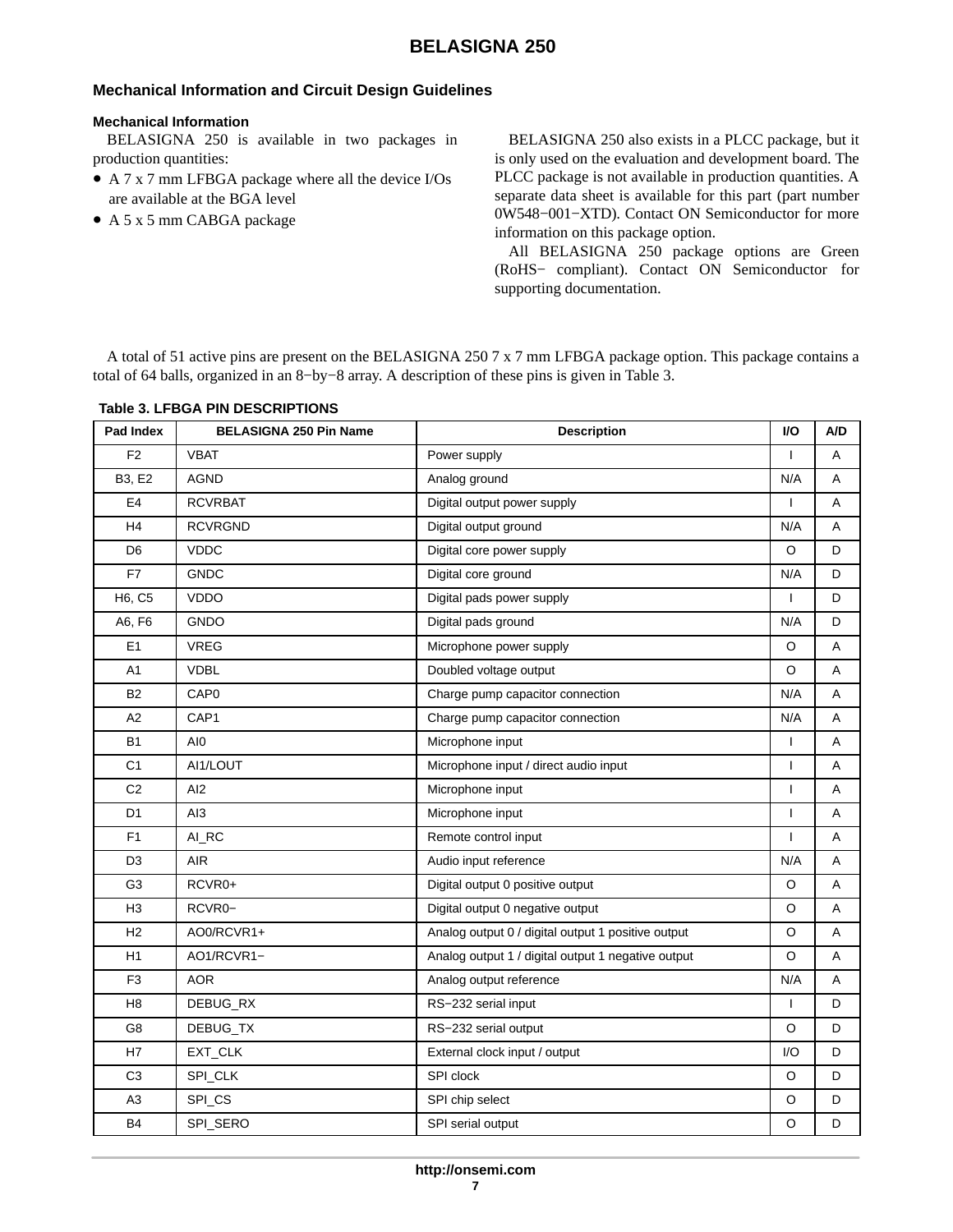## <span id="page-6-0"></span>**Mechanical Information and Circuit Design Guidelines**

#### **Mechanical Information**

BELASIGNA 250 is available in two packages in production quantities:

- A 7 x 7 mm LFBGA package where all the device I/Os are available at the BGA level
- A 5 x 5 mm CABGA package

BELASIGNA 250 also exists in a PLCC package, but it is only used on the evaluation and development board. The PLCC package is not available in production quantities. A separate data sheet is available for this part (part number 0W548−001−XTD). Contact ON Semiconductor for more information on this package option.

All BELASIGNA 250 package options are Green (RoHS− compliant). Contact ON Semiconductor for supporting documentation.

A total of 51 active pins are present on the BELASIGNA 250 7 x 7 mm LFBGA package option. This package contains a total of 64 balls, organized in an 8−by−8 array. A description of these pins is given in Table 3.

| Pad Index      | <b>BELASIGNA 250 Pin Name</b> | <b>Description</b>                                 | I/O          | A/D |
|----------------|-------------------------------|----------------------------------------------------|--------------|-----|
| F <sub>2</sub> | <b>VBAT</b>                   | Power supply                                       | $\mathbf{I}$ | A   |
| <b>B3, E2</b>  | <b>AGND</b>                   | Analog ground                                      | N/A          | A   |
| E4             | <b>RCVRBAT</b>                | Digital output power supply                        | $\mathbf{I}$ | Α   |
| H <sub>4</sub> | <b>RCVRGND</b>                | Digital output ground                              | N/A          | A   |
| D <sub>6</sub> | <b>VDDC</b>                   | Digital core power supply                          | O            | D   |
| F7             | <b>GNDC</b>                   | Digital core ground                                | N/A          | D   |
| H6, C5         | <b>VDDO</b>                   | Digital pads power supply                          | $\mathbf{I}$ | D   |
| A6, F6         | <b>GNDO</b>                   | Digital pads ground                                | N/A          | D   |
| E <sub>1</sub> | <b>VREG</b>                   | Microphone power supply                            | O            | Α   |
| A1             | <b>VDBL</b>                   | Doubled voltage output                             | O            | Α   |
| <b>B2</b>      | CAP <sub>0</sub>              | Charge pump capacitor connection                   | N/A          | Α   |
| A2             | CAP1                          | Charge pump capacitor connection                   | N/A          | A   |
| <b>B1</b>      | AI0                           | Microphone input                                   | $\mathbf{I}$ | Α   |
| C <sub>1</sub> | AI1/LOUT                      | Microphone input / direct audio input              | $\mathbf{I}$ | A   |
| C <sub>2</sub> | AI <sub>2</sub>               | Microphone input                                   | $\mathbf{I}$ | Α   |
| D <sub>1</sub> | AI <sub>3</sub>               | Microphone input                                   | $\mathbf{I}$ | A   |
| F <sub>1</sub> | AI_RC                         | Remote control input                               | $\mathbf{I}$ | Α   |
| D <sub>3</sub> | <b>AIR</b>                    | Audio input reference                              | N/A          | A   |
| G <sub>3</sub> | RCVR0+                        | Digital output 0 positive output                   | O            | A   |
| H3             | RCVR0-                        | Digital output 0 negative output                   | O            | A   |
| H2             | AO0/RCVR1+                    | Analog output 0 / digital output 1 positive output | O            | Α   |
| H1             | AO1/RCVR1-                    | Analog output 1 / digital output 1 negative output | O            | A   |
| F <sub>3</sub> | <b>AOR</b>                    | Analog output reference                            | N/A          | Α   |
| H <sub>8</sub> | DEBUG_RX                      | RS-232 serial input                                | ı            | D   |
| G8             | DEBUG_TX                      | RS-232 serial output                               | O            | D   |
| H7             | EXT_CLK                       | External clock input / output                      | 1/O          | D   |
| C <sub>3</sub> | SPI_CLK                       | SPI clock                                          | $\circ$      | D   |
| A3             | SPI_CS                        | SPI chip select                                    | O            | D   |
| <b>B4</b>      | SPI_SERO                      | SPI serial output                                  | O            | D   |

### **Table 3. LFBGA PIN DESCRIPTIONS**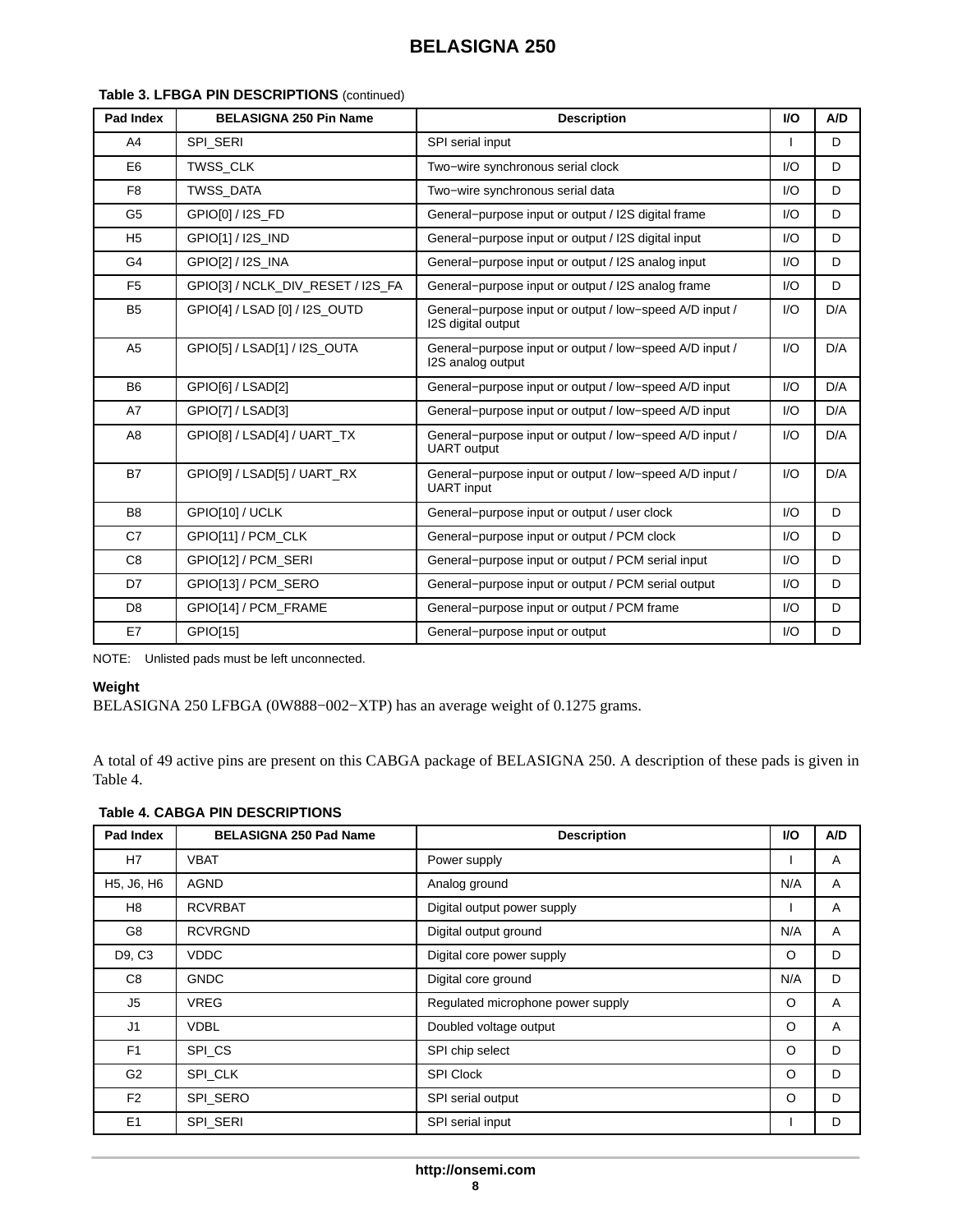| Pad Index      | <b>BELASIGNA 250 Pin Name</b>     | <b>Description</b>                                                            | <b>VO</b>              | A/D |
|----------------|-----------------------------------|-------------------------------------------------------------------------------|------------------------|-----|
| A <sub>4</sub> | SPI_SERI                          | SPI serial input                                                              |                        | D   |
| E <sub>6</sub> | TWSS CLK                          | Two-wire synchronous serial clock                                             | $l/O$                  | D   |
| F <sub>8</sub> | <b>TWSS DATA</b>                  | Two-wire synchronous serial data                                              | $\mathsf{U}\mathsf{O}$ | D   |
| G <sub>5</sub> | GPIO[0] / I2S FD                  | General-purpose input or output / I2S digital frame                           | $\mathsf{U}\mathsf{O}$ | D   |
| H <sub>5</sub> | GPIO[1] / I2S_IND                 | General-purpose input or output / I2S digital input                           | $U$                    | D   |
| G4             | GPIO[2] / I2S_INA                 | General-purpose input or output / I2S analog input                            | $U$                    | D   |
| F <sub>5</sub> | GPIO[3] / NCLK_DIV_RESET / I2S_FA | General-purpose input or output / I2S analog frame                            | $l/O$                  | D   |
| B <sub>5</sub> | GPIO[4] / LSAD [0] / I2S_OUTD     | General-purpose input or output / low-speed A/D input /<br>I2S digital output | $\mathsf{U}\mathsf{O}$ | D/A |
| A <sub>5</sub> | GPIO[5] / LSAD[1] / I2S_OUTA      | General-purpose input or output / low-speed A/D input /<br>I2S analog output  | $\mathsf{U}\mathsf{O}$ | D/A |
| <b>B6</b>      | GPIO[6] / LSAD[2]                 | General-purpose input or output / low-speed A/D input                         | $\mathsf{U}\mathsf{O}$ | D/A |
| A7             | GPIO[7] / LSAD[3]                 | General-purpose input or output / low-speed A/D input                         | $\mathsf{U}\mathsf{O}$ | D/A |
| A8             | GPIO[8] / LSAD[4] / UART_TX       | General-purpose input or output / low-speed A/D input /<br><b>UART</b> output | $\mathsf{U}\mathsf{O}$ | D/A |
| <b>B7</b>      | GPIO[9] / LSAD[5] / UART RX       | General-purpose input or output / low-speed A/D input /<br><b>UART</b> input  | $\mathsf{U}\mathsf{O}$ | D/A |
| B <sub>8</sub> | GPIO[10] / UCLK                   | General-purpose input or output / user clock                                  | $\mathsf{U}\mathsf{O}$ | D   |
| C7             | GPIO[11] / PCM CLK                | General-purpose input or output / PCM clock                                   | $U$                    | D   |
| C <sub>8</sub> | GPIO[12] / PCM SERI               | General-purpose input or output / PCM serial input                            | I/O                    | D   |
| D7             | GPIO[13] / PCM SERO               | General-purpose input or output / PCM serial output                           | $U$                    | D   |
| D <sub>8</sub> | GPIO[14] / PCM FRAME              | General-purpose input or output / PCM frame                                   | $U$                    | D   |
| E7             | GPIO[15]                          | General-purpose input or output                                               | $\mathsf{U}\mathsf{O}$ | D   |

## <span id="page-7-0"></span>**Table [3.](#page-6-0) LFBGA PIN DESCRIPTIONS** (continued)

NOTE: Unlisted pads must be left unconnected.

## **Weight**

BELASIGNA 250 LFBGA (0W888−002−XTP) has an average weight of 0.1275 grams.

A total of 49 active pins are present on this CABGA package of BELASIGNA 250. A description of these pads is given in Table 4.

## **Table 4. CABGA PIN DESCRIPTIONS**

| Pad Index      | <b>BELASIGNA 250 Pad Name</b> | <b>Description</b>                | <b>VO</b> | A/D |
|----------------|-------------------------------|-----------------------------------|-----------|-----|
| H7             | <b>VBAT</b>                   | Power supply                      |           | A   |
| H5, J6, H6     | <b>AGND</b>                   | Analog ground                     | N/A       | A   |
| H8             | <b>RCVRBAT</b>                | Digital output power supply       |           | A   |
| G8             | <b>RCVRGND</b>                | Digital output ground             | N/A       | A   |
| D9, C3         | <b>VDDC</b>                   | Digital core power supply         | O         | D   |
| C <sub>8</sub> | <b>GNDC</b>                   | Digital core ground               | N/A       | D   |
| J <sub>5</sub> | <b>VREG</b>                   | Regulated microphone power supply | O         | A   |
| J1             | <b>VDBL</b>                   | Doubled voltage output            | O         | A   |
| F <sub>1</sub> | SPI_CS                        | SPI chip select                   | O         | D   |
| G <sub>2</sub> | SPI CLK                       | <b>SPI Clock</b>                  | $\circ$   | D   |
| F <sub>2</sub> | SPI SERO                      | SPI serial output                 | O         | D   |
| E <sub>1</sub> | SPI SERI                      | SPI serial input                  |           | D   |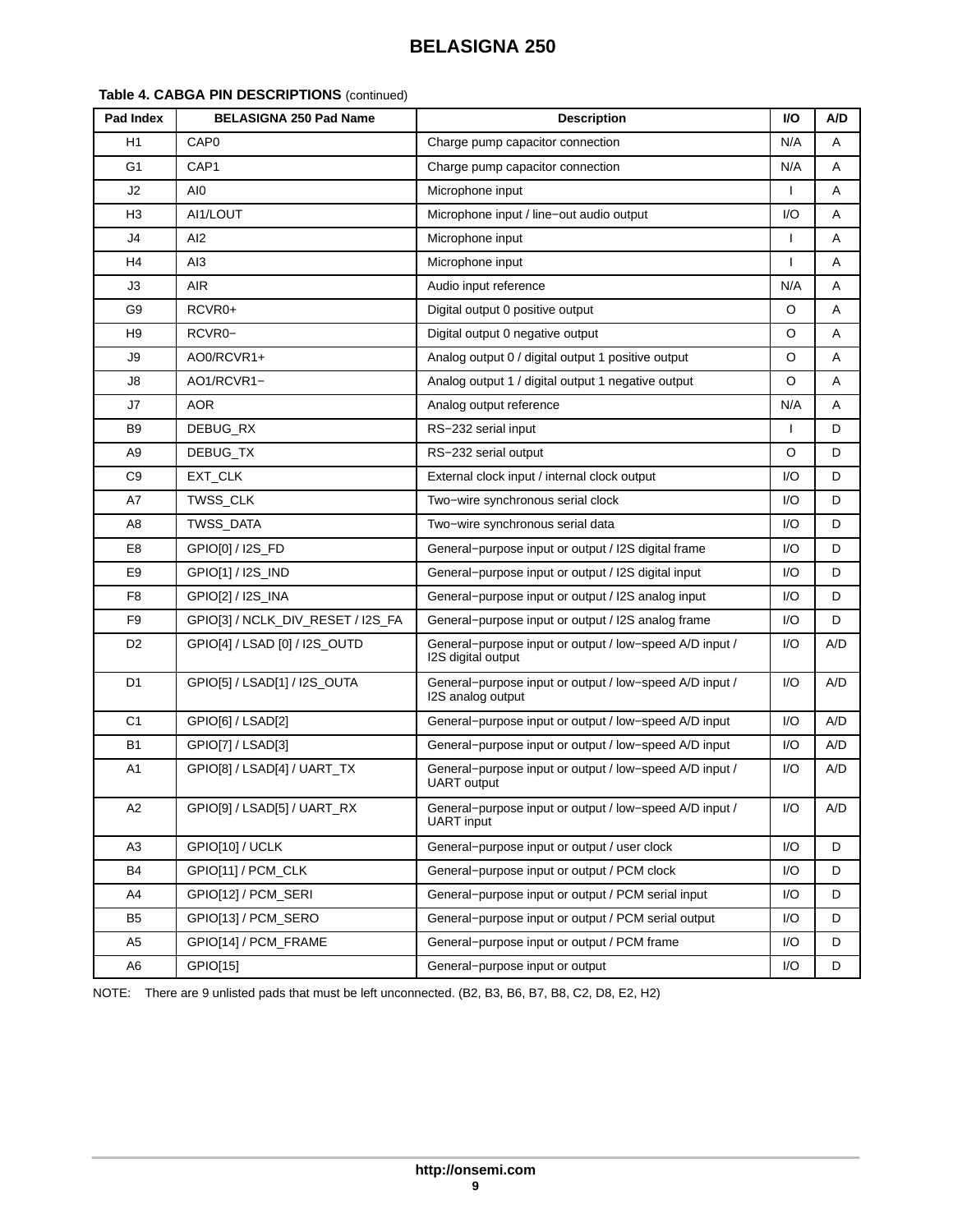| Table 4. CABGA PIN DESCRIPTIONS (continued) |                                 |  |
|---------------------------------------------|---------------------------------|--|
| $\overline{a}$                              | <b>DELACIONA OFO Deal Newse</b> |  |

| Pad Index      | <b>BELASIGNA 250 Pad Name</b>     | <b>Description</b>                                                            | I/O          | A/D |
|----------------|-----------------------------------|-------------------------------------------------------------------------------|--------------|-----|
| H1             | CAP <sub>0</sub>                  | Charge pump capacitor connection                                              | N/A          | A   |
| G <sub>1</sub> | CAP <sub>1</sub>                  | Charge pump capacitor connection                                              | N/A          | Α   |
| J2             | AI0                               | Microphone input                                                              |              | Α   |
| H <sub>3</sub> | AI1/LOUT                          | Microphone input / line-out audio output                                      | I/O          | Α   |
| J4             | AI2                               | Microphone input                                                              | $\mathbf{I}$ | A   |
| H <sub>4</sub> | AI3                               | Microphone input                                                              | $\mathbf{I}$ | A   |
| JЗ             | <b>AIR</b>                        | Audio input reference                                                         | N/A          | A   |
| G <sub>9</sub> | RCVR0+                            | Digital output 0 positive output                                              | O            | Α   |
| H9             | RCVR0-                            | Digital output 0 negative output                                              | O            | Α   |
| J9             | AO0/RCVR1+                        | Analog output 0 / digital output 1 positive output                            | O            | A   |
| J8             | AO1/RCVR1-                        | Analog output 1 / digital output 1 negative output                            | O            | Α   |
| J7             | <b>AOR</b>                        | Analog output reference                                                       | N/A          | A   |
| B9             | DEBUG RX                          | RS-232 serial input                                                           | $\mathbf{I}$ | D   |
| A <sub>9</sub> | DEBUG TX                          | RS-232 serial output                                                          | O            | D   |
| C <sub>9</sub> | EXT_CLK                           | External clock input / internal clock output                                  | I/O          | D   |
| A7             | TWSS_CLK                          | Two-wire synchronous serial clock                                             | I/O          | D   |
| A8             | TWSS_DATA                         | Two-wire synchronous serial data                                              | I/O          | D   |
| E8             | GPIO[0] / I2S FD                  | General-purpose input or output / I2S digital frame                           | $U$ O        | D   |
| E <sub>9</sub> | GPIO[1] / I2S_IND                 | General-purpose input or output / I2S digital input                           | I/O          | D   |
| F8             | GPIO[2] / I2S_INA                 | General-purpose input or output / I2S analog input                            | I/O          | D   |
| F <sub>9</sub> | GPIO[3] / NCLK_DIV_RESET / I2S_FA | General-purpose input or output / I2S analog frame                            | I/O          | D   |
| D <sub>2</sub> | GPIO[4] / LSAD [0] / I2S_OUTD     | General-purpose input or output / low-speed A/D input /<br>I2S digital output | I/O          | A/D |
| D <sub>1</sub> | GPIO[5] / LSAD[1] / I2S_OUTA      | General-purpose input or output / low-speed A/D input /<br>I2S analog output  | I/O          | A/D |
| C <sub>1</sub> | GPIO[6] / LSAD[2]                 | General-purpose input or output / low-speed A/D input                         | I/O          | A/D |
| <b>B1</b>      | GPIO[7] / LSAD[3]                 | General-purpose input or output / low-speed A/D input                         | I/O          | A/D |
| A <sub>1</sub> | GPIO[8] / LSAD[4] / UART_TX       | General-purpose input or output / low-speed A/D input /<br><b>UART</b> output | I/O          | A/D |
| A2             | GPIO[9] / LSAD[5] / UART_RX       | General-purpose input or output / low-speed A/D input /<br>UART input         | I/O          | A/D |
| A3             | GPIO[10] / UCLK                   | General-purpose input or output / user clock                                  | I/O          | D   |
| B4             | GPIO[11] / PCM_CLK                | General-purpose input or output / PCM clock                                   | I/O          | D   |
| A4             | GPIO[12] / PCM_SERI               | General-purpose input or output / PCM serial input                            | I/O          | D   |
| B <sub>5</sub> | GPIO[13] / PCM_SERO               | General-purpose input or output / PCM serial output                           | I/O          | D   |
| A <sub>5</sub> | GPIO[14] / PCM_FRAME              | General-purpose input or output / PCM frame                                   | I/O          | D   |
| A6             | GPIO[15]                          | General-purpose input or output                                               | I/O          | D   |

NOTE: There are 9 unlisted pads that must be left unconnected. (B2, B3, B6, B7, B8, C2, D8, E2, H2)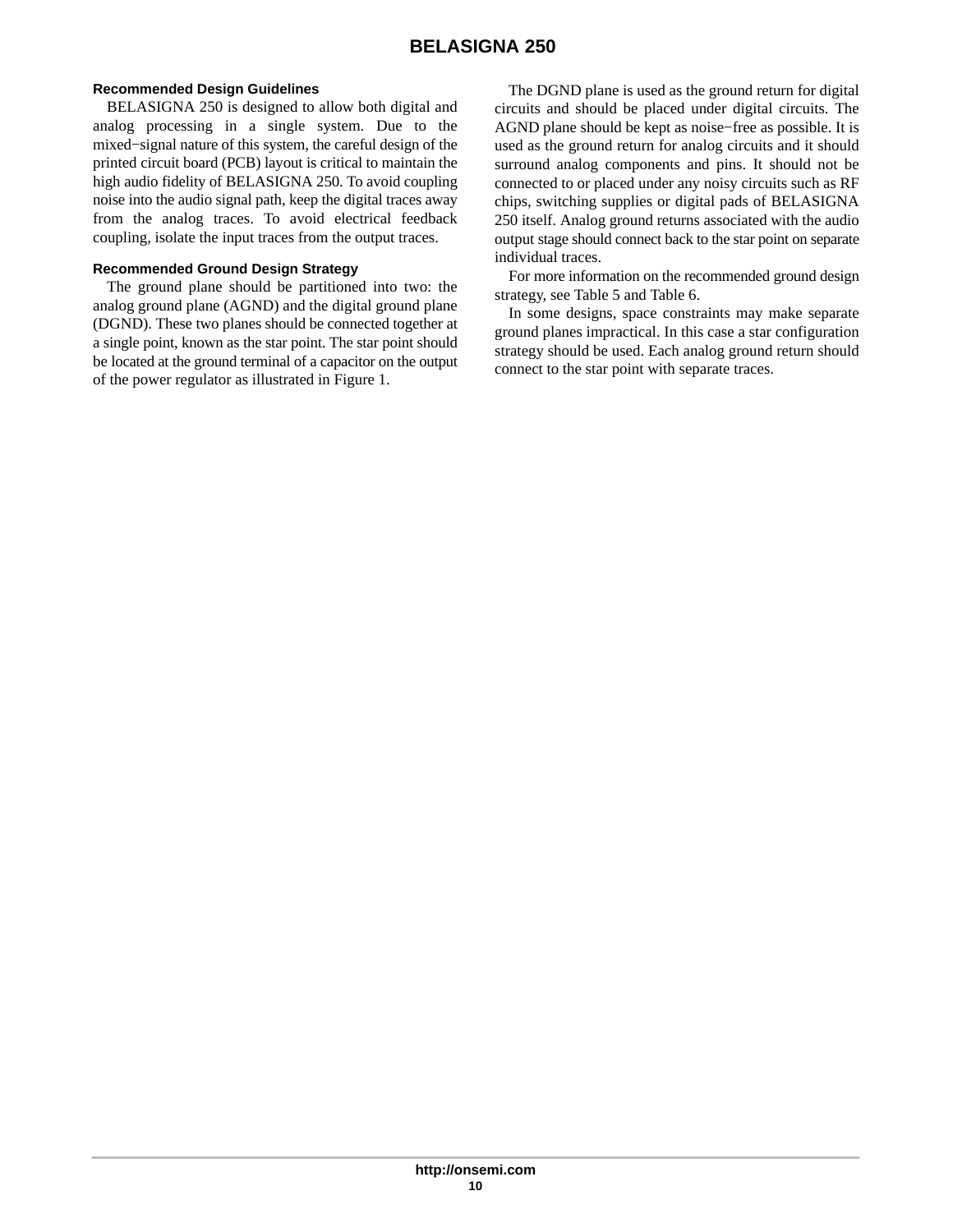#### **Recommended Design Guidelines**

BELASIGNA 250 is designed to allow both digital and analog processing in a single system. Due to the mixed−signal nature of this system, the careful design of the printed circuit board (PCB) layout is critical to maintain the high audio fidelity of BELASIGNA 250. To avoid coupling noise into the audio signal path, keep the digital traces away from the analog traces. To avoid electrical feedback coupling, isolate the input traces from the output traces.

#### **Recommended Ground Design Strategy**

The ground plane should be partitioned into two: the analog ground plane (AGND) and the digital ground plane (DGND). These two planes should be connected together at a single point, known as the star point. The star point should be located at the ground terminal of a capacitor on the output of the power regulator as illustrated in Figure [1](#page-10-0).

The DGND plane is used as the ground return for digital circuits and should be placed under digital circuits. The AGND plane should be kept as noise−free as possible. It is used as the ground return for analog circuits and it should surround analog components and pins. It should not be connected to or placed under any noisy circuits such as RF chips, switching supplies or digital pads of BELASIGNA 250 itself. Analog ground returns associated with the audio output stage should connect back to the star point on separate individual traces.

For more information on the recommended ground design strategy, see Table [5](#page-11-0) and Table [6.](#page-11-0)

In some designs, space constraints may make separate ground planes impractical. In this case a star configuration strategy should be used. Each analog ground return should connect to the star point with separate traces.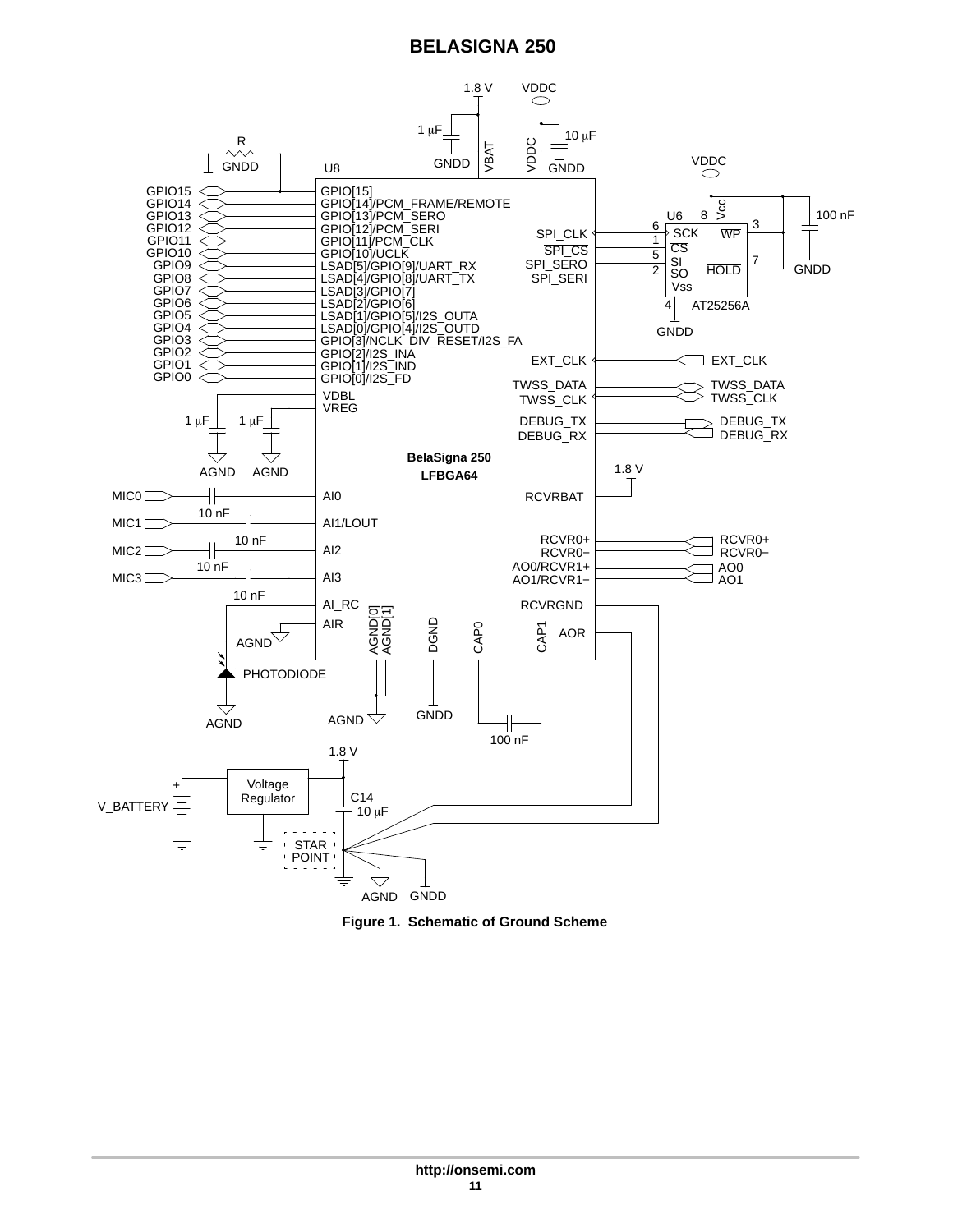<span id="page-10-0"></span>

**Figure 1. Schematic of Ground Scheme**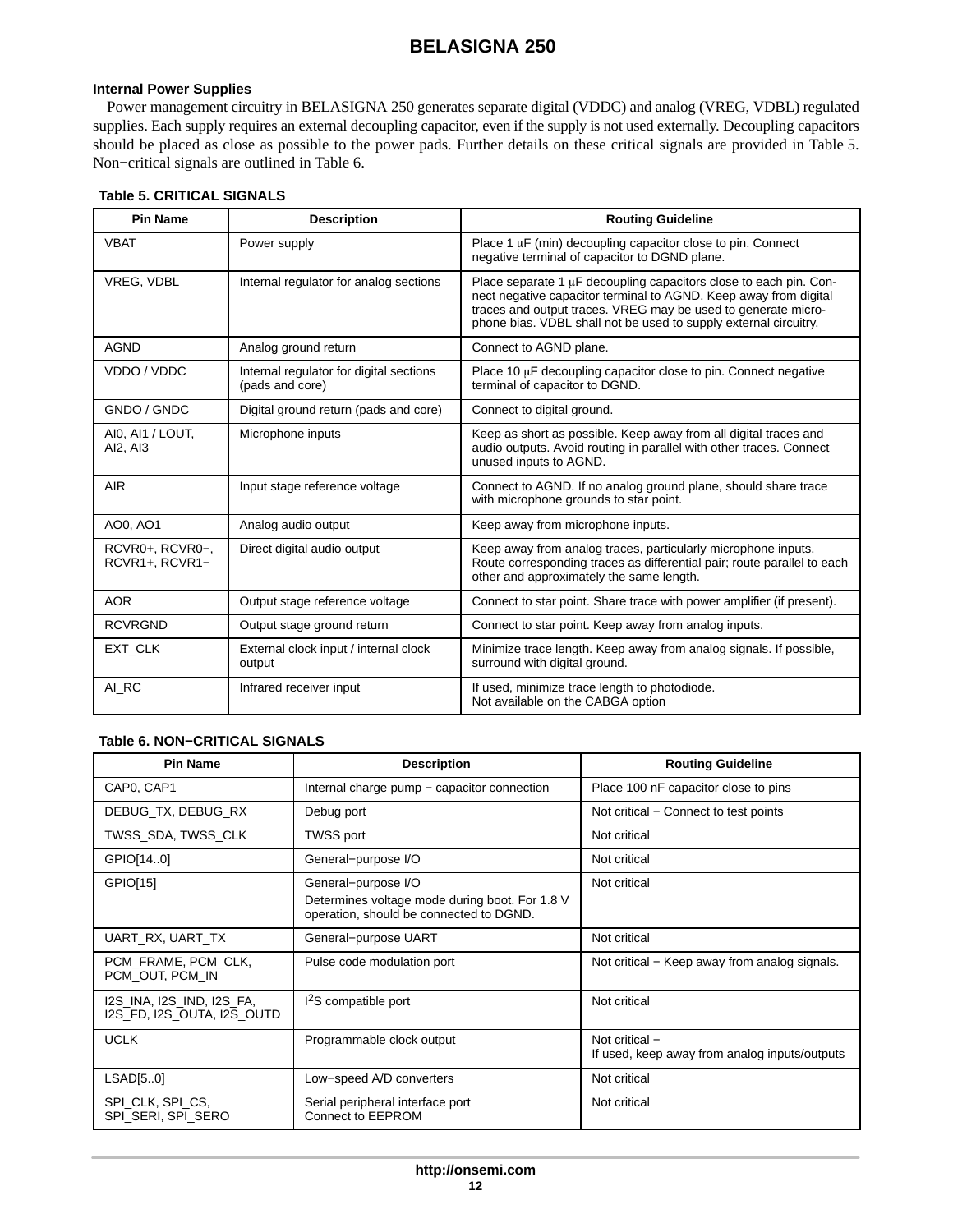### <span id="page-11-0"></span>**Internal Power Supplies**

Power management circuitry in BELASIGNA 250 generates separate digital (VDDC) and analog (VREG, VDBL) regulated supplies. Each supply requires an external decoupling capacitor, even if the supply is not used externally. Decoupling capacitors should be placed as close as possible to the power pads. Further details on these critical signals are provided in Table 5. Non−critical signals are outlined in Table 6.

#### **Table 5. CRITICAL SIGNALS**

| <b>Pin Name</b>                   | <b>Description</b>                                         | <b>Routing Guideline</b>                                                                                                                                                                                                                                                   |
|-----------------------------------|------------------------------------------------------------|----------------------------------------------------------------------------------------------------------------------------------------------------------------------------------------------------------------------------------------------------------------------------|
| <b>VBAT</b>                       | Power supply                                               | Place 1 $\mu$ F (min) decoupling capacitor close to pin. Connect<br>negative terminal of capacitor to DGND plane.                                                                                                                                                          |
| VREG, VDBL                        | Internal regulator for analog sections                     | Place separate 1 µF decoupling capacitors close to each pin. Con-<br>nect negative capacitor terminal to AGND. Keep away from digital<br>traces and output traces. VREG may be used to generate micro-<br>phone bias. VDBL shall not be used to supply external circuitry. |
| <b>AGND</b>                       | Analog ground return                                       | Connect to AGND plane.                                                                                                                                                                                                                                                     |
| VDDO / VDDC                       | Internal regulator for digital sections<br>(pads and core) | Place 10 $\mu$ F decoupling capacitor close to pin. Connect negative<br>terminal of capacitor to DGND.                                                                                                                                                                     |
| GNDO / GNDC                       | Digital ground return (pads and core)                      | Connect to digital ground.                                                                                                                                                                                                                                                 |
| AI0, AI1 / LOUT,<br>AI2, AI3      | Microphone inputs                                          | Keep as short as possible. Keep away from all digital traces and<br>audio outputs. Avoid routing in parallel with other traces. Connect<br>unused inputs to AGND.                                                                                                          |
| <b>AIR</b>                        | Input stage reference voltage                              | Connect to AGND. If no analog ground plane, should share trace<br>with microphone grounds to star point.                                                                                                                                                                   |
| AO0, AO1                          | Analog audio output                                        | Keep away from microphone inputs.                                                                                                                                                                                                                                          |
| RCVR0+, RCVR0-,<br>RCVR1+, RCVR1- | Direct digital audio output                                | Keep away from analog traces, particularly microphone inputs.<br>Route corresponding traces as differential pair; route parallel to each<br>other and approximately the same length.                                                                                       |
| <b>AOR</b>                        | Output stage reference voltage                             | Connect to star point. Share trace with power amplifier (if present).                                                                                                                                                                                                      |
| <b>RCVRGND</b>                    | Output stage ground return                                 | Connect to star point. Keep away from analog inputs.                                                                                                                                                                                                                       |
| <b>EXT CLK</b>                    | External clock input / internal clock<br>output            | Minimize trace length. Keep away from analog signals. If possible,<br>surround with digital ground.                                                                                                                                                                        |
| AI RC                             | Infrared receiver input                                    | If used, minimize trace length to photodiode.<br>Not available on the CABGA option                                                                                                                                                                                         |

## **Table 6. NON−CRITICAL SIGNALS**

| <b>Pin Name</b>                                         | <b>Description</b>                                                                                               | <b>Routing Guideline</b>                                        |
|---------------------------------------------------------|------------------------------------------------------------------------------------------------------------------|-----------------------------------------------------------------|
| CAP0, CAP1                                              | Internal charge pump – capacitor connection                                                                      | Place 100 nF capacitor close to pins                            |
| DEBUG_TX, DEBUG_RX                                      | Debug port                                                                                                       | Not critical - Connect to test points                           |
| TWSS_SDA, TWSS_CLK                                      | TWSS port                                                                                                        | Not critical                                                    |
| GPIO[140]                                               | General-purpose I/O                                                                                              | Not critical                                                    |
| GPIO[15]                                                | General-purpose I/O<br>Determines voltage mode during boot. For 1.8 V<br>operation, should be connected to DGND. | Not critical                                                    |
| UART_RX, UART_TX                                        | General-purpose UART                                                                                             | Not critical                                                    |
| PCM_FRAME, PCM_CLK,<br>PCM OUT, PCM IN                  | Pulse code modulation port                                                                                       | Not critical – Keep away from analog signals.                   |
| I2S_INA, I2S_IND, I2S_FA,<br>I2S FD, I2S OUTA, I2S OUTD | $12S$ compatible port                                                                                            | Not critical                                                    |
| <b>UCLK</b>                                             | Programmable clock output                                                                                        | Not critical -<br>If used, keep away from analog inputs/outputs |
| LSAD[50]                                                | Low-speed A/D converters                                                                                         | Not critical                                                    |
| SPI_CLK, SPI_CS,<br>SPI SERI, SPI SERO                  | Serial peripheral interface port<br>Connect to EEPROM                                                            | Not critical                                                    |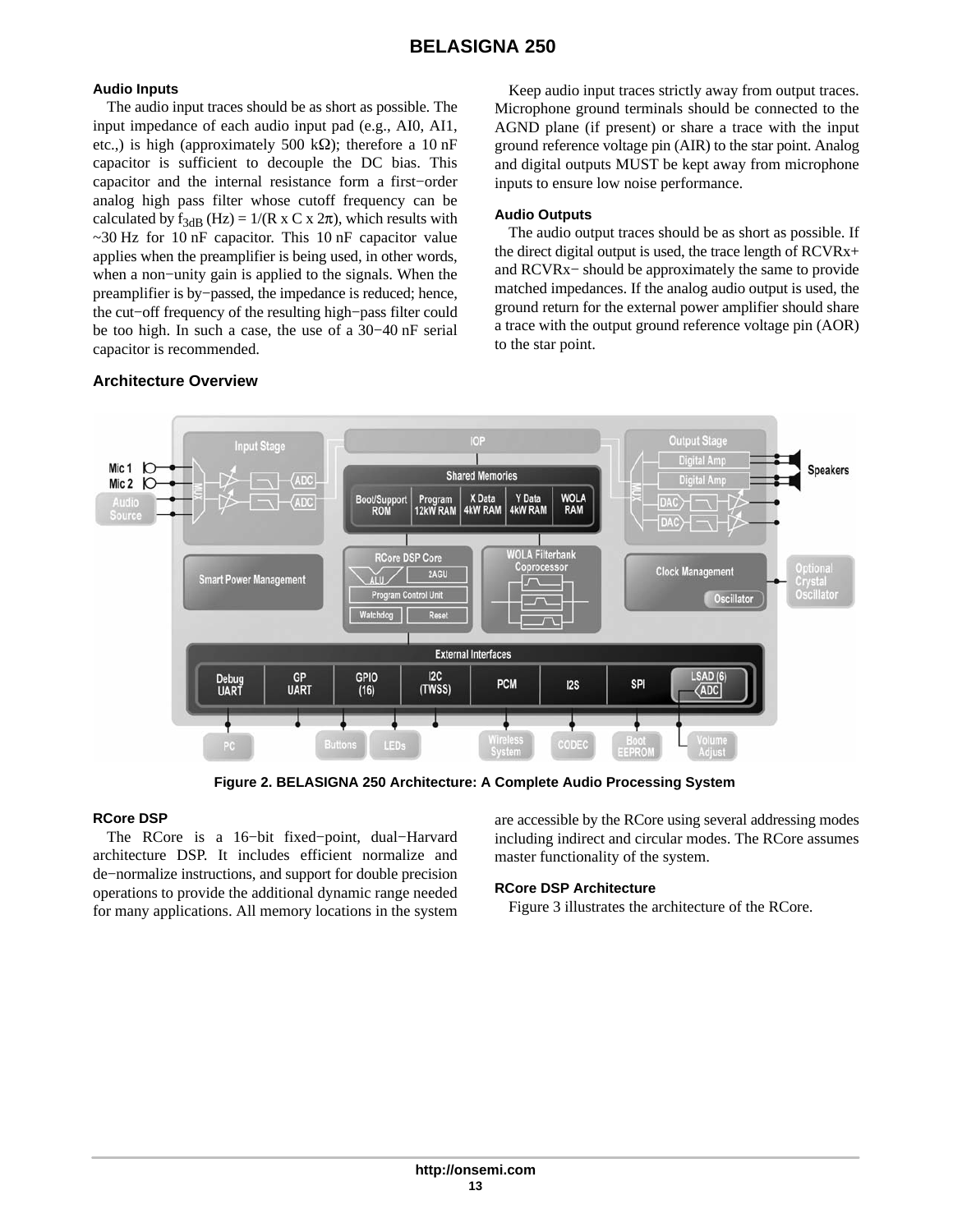## **Audio Inputs**

The audio input traces should be as short as possible. The input impedance of each audio input pad (e.g., AI0, AI1, etc.,) is high (approximately 500 k $\Omega$ ); therefore a 10 nF capacitor is sufficient to decouple the DC bias. This capacitor and the internal resistance form a first−order analog high pass filter whose cutoff frequency can be calculated by  $f_{3dB}$  (Hz) = 1/(R x C x 2 $\pi$ ), which results with  $\sim$ 30 Hz for 10 nF capacitor. This 10 nF capacitor value applies when the preamplifier is being used, in other words, when a non−unity gain is applied to the signals. When the preamplifier is by−passed, the impedance is reduced; hence, the cut−off frequency of the resulting high−pass filter could be too high. In such a case, the use of a 30−40 nF serial capacitor is recommended.

## **Architecture Overview**

Keep audio input traces strictly away from output traces. Microphone ground terminals should be connected to the AGND plane (if present) or share a trace with the input ground reference voltage pin (AIR) to the star point. Analog and digital outputs MUST be kept away from microphone inputs to ensure low noise performance.

## **Audio Outputs**

The audio output traces should be as short as possible. If the direct digital output is used, the trace length of RCVRx+ and RCVRx− should be approximately the same to provide matched impedances. If the analog audio output is used, the ground return for the external power amplifier should share a trace with the output ground reference voltage pin (AOR) to the star point.



**Figure 2. BELASIGNA 250 Architecture: A Complete Audio Processing System**

## **RCore DSP**

The RCore is a 16−bit fixed−point, dual−Harvard architecture DSP. It includes efficient normalize and de−normalize instructions, and support for double precision operations to provide the additional dynamic range needed for many applications. All memory locations in the system

are accessible by the RCore using several addressing modes including indirect and circular modes. The RCore assumes master functionality of the system.

## **RCore DSP Architecture**

Figure [3](#page-13-0) illustrates the architecture of the RCore.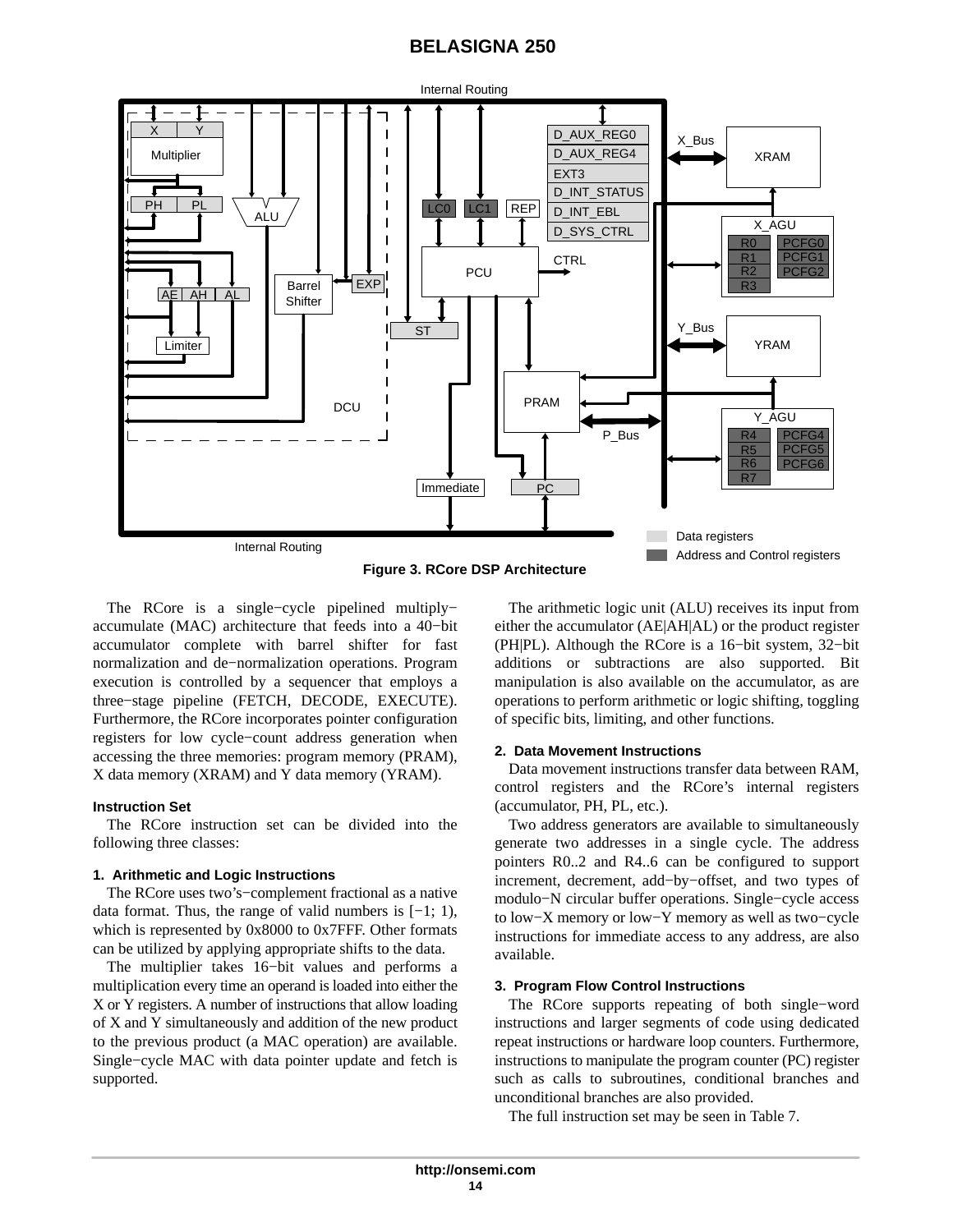<span id="page-13-0"></span>

**Figure 3. RCore DSP Architecture**

The RCore is a single−cycle pipelined multiply− accumulate (MAC) architecture that feeds into a 40−bit accumulator complete with barrel shifter for fast normalization and de−normalization operations. Program execution is controlled by a sequencer that employs a three−stage pipeline (FETCH, DECODE, EXECUTE). Furthermore, the RCore incorporates pointer configuration registers for low cycle−count address generation when accessing the three memories: program memory (PRAM), X data memory (XRAM) and Y data memory (YRAM).

#### **Instruction Set**

The RCore instruction set can be divided into the following three classes:

#### **1. Arithmetic and Logic Instructions**

The RCore uses two's−complement fractional as a native data format. Thus, the range of valid numbers is [−1; 1), which is represented by 0x8000 to 0x7FFF. Other formats can be utilized by applying appropriate shifts to the data.

The multiplier takes 16−bit values and performs a multiplication every time an operand is loaded into either the X or Y registers. A number of instructions that allow loading of X and Y simultaneously and addition of the new product to the previous product (a MAC operation) are available. Single−cycle MAC with data pointer update and fetch is supported.

The arithmetic logic unit (ALU) receives its input from either the accumulator (AE|AH|AL) or the product register (PH|PL). Although the RCore is a 16−bit system, 32−bit additions or subtractions are also supported. Bit manipulation is also available on the accumulator, as are operations to perform arithmetic or logic shifting, toggling of specific bits, limiting, and other functions.

#### **2. Data Movement Instructions**

Data movement instructions transfer data between RAM, control registers and the RCore's internal registers (accumulator, PH, PL, etc.).

Two address generators are available to simultaneously generate two addresses in a single cycle. The address pointers R0..2 and R4..6 can be configured to support increment, decrement, add−by−offset, and two types of modulo−N circular buffer operations. Single−cycle access to low−X memory or low−Y memory as well as two−cycle instructions for immediate access to any address, are also available.

#### **3. Program Flow Control Instructions**

The RCore supports repeating of both single−word instructions and larger segments of code using dedicated repeat instructions or hardware loop counters. Furthermore, instructions to manipulate the program counter (PC) register such as calls to subroutines, conditional branches and unconditional branches are also provided.

The full instruction set may be seen in Table [7.](#page-14-0)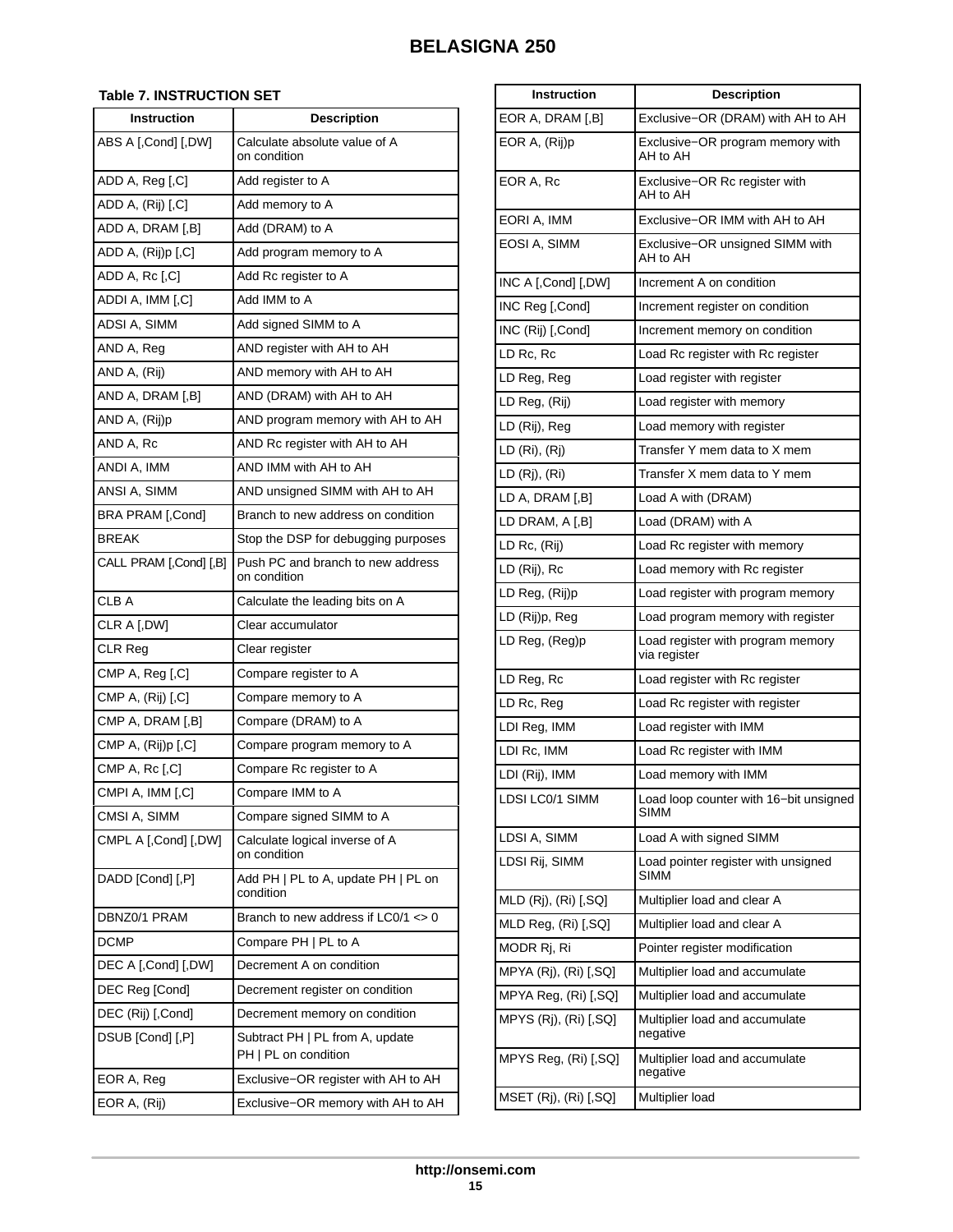## <span id="page-14-0"></span>**Table 7. INSTRUCTION SET**

| <b>Instruction</b>     | <b>Description</b>                                      |
|------------------------|---------------------------------------------------------|
| ABS A [,Cond] [,DW]    | Calculate absolute value of A<br>on condition           |
| ADD A, Reg [,C]        | Add register to A                                       |
| ADD A, (Rij) [,C]      | Add memory to A                                         |
| ADD A, DRAM [,B]       | Add (DRAM) to A                                         |
| ADD A, (Rij)p [,C]     | Add program memory to A                                 |
| ADD A, Rc [,C]         | Add Rc register to A                                    |
| ADDI A, IMM [,C]       | Add IMM to A                                            |
| ADSI A, SIMM           | Add signed SIMM to A                                    |
| AND A, Reg             | AND register with AH to AH                              |
| AND A, (Rij)           | AND memory with AH to AH                                |
| AND A, DRAM [,B]       | AND (DRAM) with AH to AH                                |
| AND A, (Rij)p          | AND program memory with AH to AH                        |
| AND A, Rc              | AND Rc register with AH to AH                           |
| ANDI A, IMM            | AND IMM with AH to AH                                   |
| ANSI A, SIMM           | AND unsigned SIMM with AH to AH                         |
| BRA PRAM [,Cond]       | Branch to new address on condition                      |
| <b>BREAK</b>           | Stop the DSP for debugging purposes                     |
| CALL PRAM [,Cond] [,B] | Push PC and branch to new address<br>on condition       |
| CLB A                  | Calculate the leading bits on A                         |
| CLR A [,DW]            | Clear accumulator                                       |
| CLR Reg                | Clear register                                          |
| CMP A, Reg [,C]        | Compare register to A                                   |
| CMP A, (Rij) [,C]      | Compare memory to A                                     |
| CMP A, DRAM [,B]       | Compare (DRAM) to A                                     |
| CMP A, (Rij)p [,C]     | Compare program memory to A                             |
| CMP A, Rc [,C]         | Compare Rc register to A                                |
| CMPI A, IMM [,C]       | Compare IMM to A                                        |
| CMSI A, SIMM           | Compare signed SIMM to A                                |
| CMPL A [,Cond] [,DW]   | Calculate logical inverse of A<br>on condition          |
| DADD [Cond] [,P]       | Add PH   PL to A, update PH   PL on<br>condition        |
| DBNZ0/1 PRAM           | Branch to new address if LC0/1 <> 0                     |
| <b>DCMP</b>            | Compare PH   PL to A                                    |
| DEC A [,Cond] [,DW]    | Decrement A on condition                                |
| DEC Reg [Cond]         | Decrement register on condition                         |
| DEC (Rij) [,Cond]      | Decrement memory on condition                           |
| DSUB [Cond] [,P]       | Subtract PH   PL from A, update<br>PH   PL on condition |
| EOR A, Reg             | Exclusive-OR register with AH to AH                     |
| EOR A, (Rij)           | Exclusive-OR memory with AH to AH                       |

| <b>Instruction</b>    | <b>Description</b>                                    |
|-----------------------|-------------------------------------------------------|
| EOR A, DRAM [,B]      | Exclusive-OR (DRAM) with AH to AH                     |
| EOR A. (Rij)p         | Exclusive–OR program memory with<br>AH to AH          |
| EOR A, Rc             | Exclusive-OR Rc register with<br>AH to AH             |
| EORI A, IMM           | Exclusive-OR IMM with AH to AH                        |
| EOSI A. SIMM          | Exclusive–OR unsigned SIMM with<br>AH to AH           |
| INC A [,Cond] [,DW]   | Increment A on condition                              |
| INC Reg [,Cond]       | Increment register on condition                       |
| INC (Rij) [,Cond]     | Increment memory on condition                         |
| LD Rc, Rc             | Load Rc register with Rc register                     |
| LD Reg, Reg           | Load register with register                           |
| LD Reg, (Rij)         | Load register with memory                             |
| LD (Rij), Reg         | Load memory with register                             |
| LD (Ri), (Rj)         | Transfer Y mem data to X mem                          |
| LD (Rj), (Ri)         | Transfer X mem data to Y mem                          |
| LD A, DRAM [,B]       | Load A with (DRAM)                                    |
| LD DRAM, A [,B]       | Load (DRAM) with A                                    |
| LD Rc, (Rij)          | Load Rc register with memory                          |
| LD (Rij), Rc          | Load memory with Rc register                          |
| LD Reg, (Rij)p        | Load register with program memory                     |
| LD (Rij)p, Reg        | Load program memory with register                     |
| LD Reg, (Reg)p        | Load register with program memory<br>via register     |
| LD Reg, Rc            | Load register with Rc register                        |
| LD Rc, Reg            | Load Rc register with register                        |
| LDI Reg, IMM          | Load register with IMM                                |
| LDI Rc, IMM           | Load Rc register with IMM                             |
| LDI (Rij), IMM        | Load memory with IMM                                  |
| LDSI LC0/1 SIMM       | Load loop counter with 16-bit unsigned<br><b>SIMM</b> |
| LDSI A, SIMM          | Load A with signed SIMM                               |
| LDSI Rij, SIMM        | Load pointer register with unsigned<br>SIMM           |
| MLD (Rj), (Ri) [,SQ]  | Multiplier load and clear A                           |
| MLD Reg, (Ri) [,SQ]   | Multiplier load and clear A                           |
| MODR Rj, Ri           | Pointer register modification                         |
| MPYA (Rj), (Ri) [,SQ] | Multiplier load and accumulate                        |
| MPYA Reg, (Ri) [,SQ]  | Multiplier load and accumulate                        |
| MPYS (Rj), (Ri) [,SQ] | Multiplier load and accumulate<br>negative            |
| MPYS Reg, (Ri) [,SQ]  | Multiplier load and accumulate<br>negative            |
| MSET (Rj), (Ri) [,SQ] | Multiplier load                                       |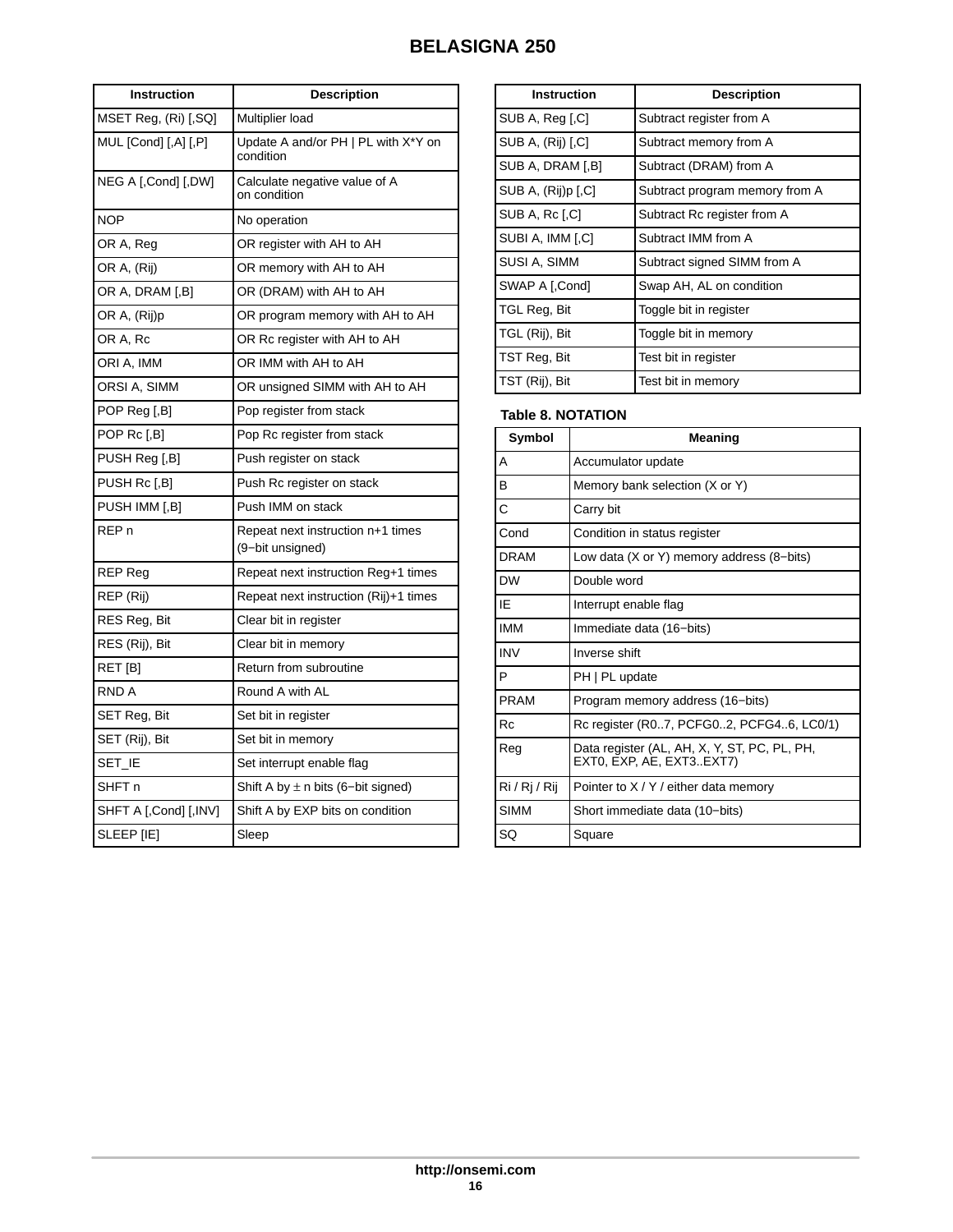| Instruction           | <b>Description</b>                                    |
|-----------------------|-------------------------------------------------------|
| MSET Reg. (Ri) [,SQ]  | Multiplier load                                       |
| MUL [Cond] [,A] [,P]  | Update A and/or PH   PL with X*Y on<br>condition      |
| NEG A [,Cond] [,DW]   | Calculate negative value of A<br>on condition         |
| <b>NOP</b>            | No operation                                          |
| OR A, Reg             | OR register with AH to AH                             |
| OR A, (Rij)           | OR memory with AH to AH                               |
| OR A, DRAM [,B]       | OR (DRAM) with AH to AH                               |
| OR A, (Rij)p          | OR program memory with AH to AH                       |
| OR A, Rc              | OR Rc register with AH to AH                          |
| ORI A, IMM            | OR IMM with AH to AH                                  |
| ORSI A, SIMM          | OR unsigned SIMM with AH to AH                        |
| POP Reg [,B]          | Pop register from stack                               |
| POP Rc [,B]           | Pop Rc register from stack                            |
| PUSH Reg [,B]         | Push register on stack                                |
| PUSH Rc [,B]          | Push Rc register on stack                             |
| PUSH IMM [,B]         | Push IMM on stack                                     |
| REP <sub>n</sub>      | Repeat next instruction n+1 times<br>(9-bit unsigned) |
| <b>REP Reg</b>        | Repeat next instruction Reg+1 times                   |
| REP (Rij)             | Repeat next instruction (Rij)+1 times                 |
| RES Reg, Bit          | Clear bit in register                                 |
| RES (Rij), Bit        | Clear bit in memory                                   |
| RET [B]               | Return from subroutine                                |
| RND A                 | Round A with AL                                       |
| SET Reg, Bit          | Set bit in register                                   |
| SET (Rij), Bit        | Set bit in memory                                     |
| Set_ie                | Set interrupt enable flag                             |
| SHFT n                | Shift A by $\pm$ n bits (6-bit signed)                |
| SHFT A [,Cond] [,INV] | Shift A by EXP bits on condition                      |
| SLEEP [IE]            | Sleep                                                 |

| <b>Instruction</b> | <b>Description</b>             |
|--------------------|--------------------------------|
| SUB A, Reg [,C]    | Subtract register from A       |
| SUB A, (Rij) [,C]  | Subtract memory from A         |
| SUB A, DRAM [,B]   | Subtract (DRAM) from A         |
| SUB A, (Rij)p [.C] | Subtract program memory from A |
| SUB A, Rc [,C]     | Subtract Rc register from A    |
| SUBI A, IMM [,C]   | Subtract IMM from A            |
| SUSI A, SIMM       | Subtract signed SIMM from A    |
| SWAP A [,Cond]     | Swap AH, AL on condition       |
| TGL Reg, Bit       | Toggle bit in register         |
| TGL (Rij), Bit     | Toggle bit in memory           |
| TST Reg, Bit       | Test bit in register           |
| TST (Rij), Bit     | Test bit in memory             |

## **Table 8. NOTATION**

| Symbol        | Meaning                                                                  |
|---------------|--------------------------------------------------------------------------|
| А             | Accumulator update                                                       |
| в             | Memory bank selection (X or Y)                                           |
| Ċ             | Carry bit                                                                |
| Cond          | Condition in status register                                             |
| DRAM          | Low data (X or Y) memory address (8–bits)                                |
| <b>DW</b>     | Double word                                                              |
| ΙF            | Interrupt enable flag                                                    |
| <b>IMM</b>    | Immediate data (16-bits)                                                 |
| <b>INV</b>    | Inverse shift                                                            |
| P             | PH   PL update                                                           |
| PRAM          | Program memory address (16-bits)                                         |
| Rc            | Rc register (R07, PCFG02, PCFG46, LC0/1)                                 |
| Reg           | Data register (AL, AH, X, Y, ST, PC, PL, PH,<br>EXTO, EXP, AE, EXT3EXT7) |
| Ri / Rj / Rij | Pointer to $X/Y$ / either data memory                                    |
| <b>SIMM</b>   | Short immediate data (10-bits)                                           |
| SQ            | Square                                                                   |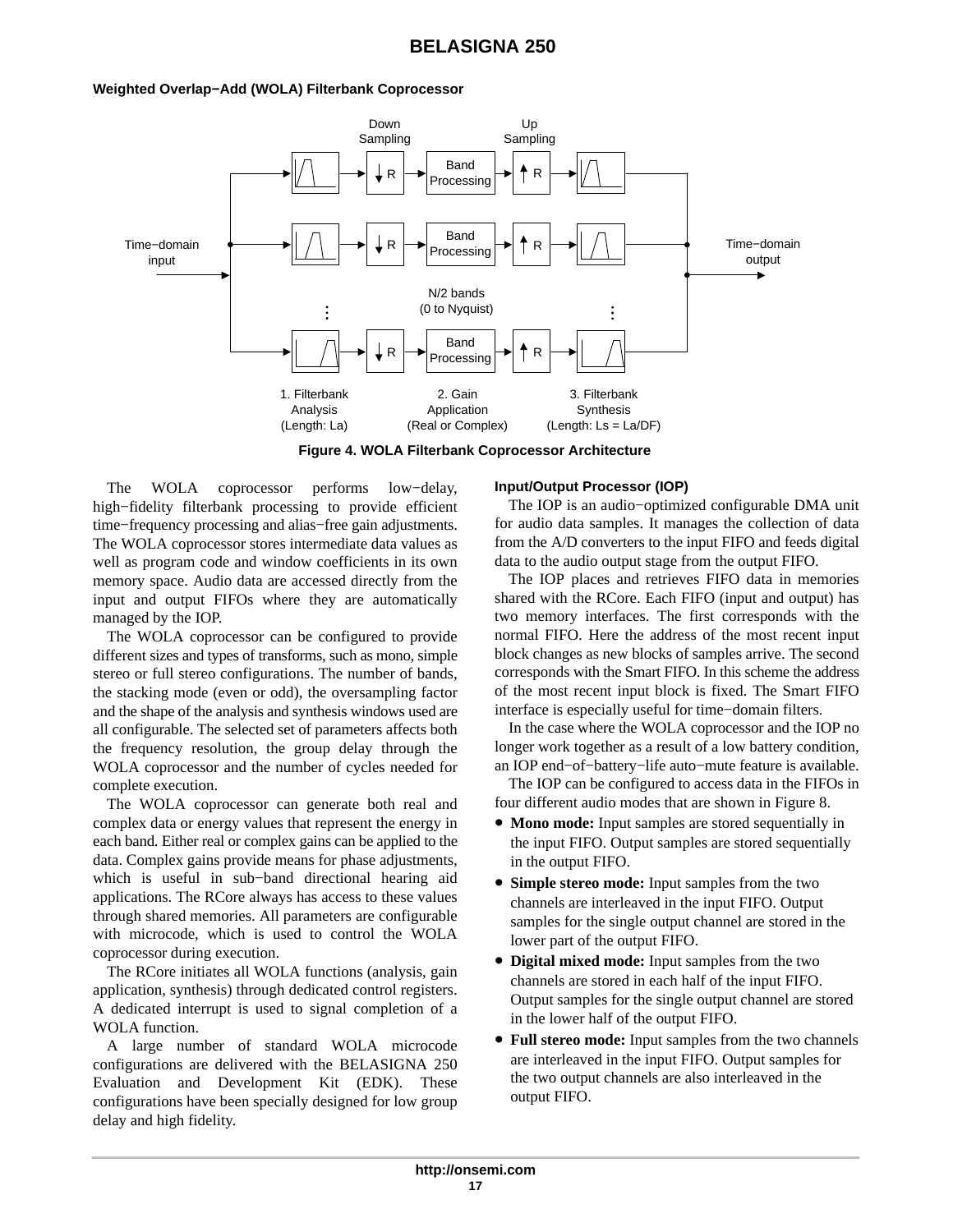#### **Weighted Overlap−Add (WOLA) Filterbank Coprocessor**



**Figure 4. WOLA Filterbank Coprocessor Architecture**

The WOLA coprocessor performs low−delay, high−fidelity filterbank processing to provide efficient time−frequency processing and alias−free gain adjustments. The WOLA coprocessor stores intermediate data values as well as program code and window coefficients in its own memory space. Audio data are accessed directly from the input and output FIFOs where they are automatically managed by the IOP.

The WOLA coprocessor can be configured to provide different sizes and types of transforms, such as mono, simple stereo or full stereo configurations. The number of bands, the stacking mode (even or odd), the oversampling factor and the shape of the analysis and synthesis windows used are all configurable. The selected set of parameters affects both the frequency resolution, the group delay through the WOLA coprocessor and the number of cycles needed for complete execution.

The WOLA coprocessor can generate both real and complex data or energy values that represent the energy in each band. Either real or complex gains can be applied to the data. Complex gains provide means for phase adjustments, which is useful in sub−band directional hearing aid applications. The RCore always has access to these values through shared memories. All parameters are configurable with microcode, which is used to control the WOLA coprocessor during execution.

The RCore initiates all WOLA functions (analysis, gain application, synthesis) through dedicated control registers. A dedicated interrupt is used to signal completion of a WOLA function.

A large number of standard WOLA microcode configurations are delivered with the BELASIGNA 250 Evaluation and Development Kit (EDK). These configurations have been specially designed for low group delay and high fidelity.

### **Input/Output Processor (IOP)**

The IOP is an audio−optimized configurable DMA unit for audio data samples. It manages the collection of data from the A/D converters to the input FIFO and feeds digital data to the audio output stage from the output FIFO.

The IOP places and retrieves FIFO data in memories shared with the RCore. Each FIFO (input and output) has two memory interfaces. The first corresponds with the normal FIFO. Here the address of the most recent input block changes as new blocks of samples arrive. The second corresponds with the Smart FIFO. In this scheme the address of the most recent input block is fixed. The Smart FIFO interface is especially useful for time−domain filters.

In the case where the WOLA coprocessor and the IOP no longer work together as a result of a low battery condition, an IOP end−of−battery−life auto−mute feature is available.

The IOP can be configured to access data in the FIFOs in four different audio modes that are shown in Figure 8.

- **Mono mode:** Input samples are stored sequentially in the input FIFO. Output samples are stored sequentially in the output FIFO.
- **Simple stereo mode:** Input samples from the two channels are interleaved in the input FIFO. Output samples for the single output channel are stored in the lower part of the output FIFO.
- **Digital mixed mode:** Input samples from the two channels are stored in each half of the input FIFO. Output samples for the single output channel are stored in the lower half of the output FIFO.
- **Full stereo mode:** Input samples from the two channels are interleaved in the input FIFO. Output samples for the two output channels are also interleaved in the output FIFO.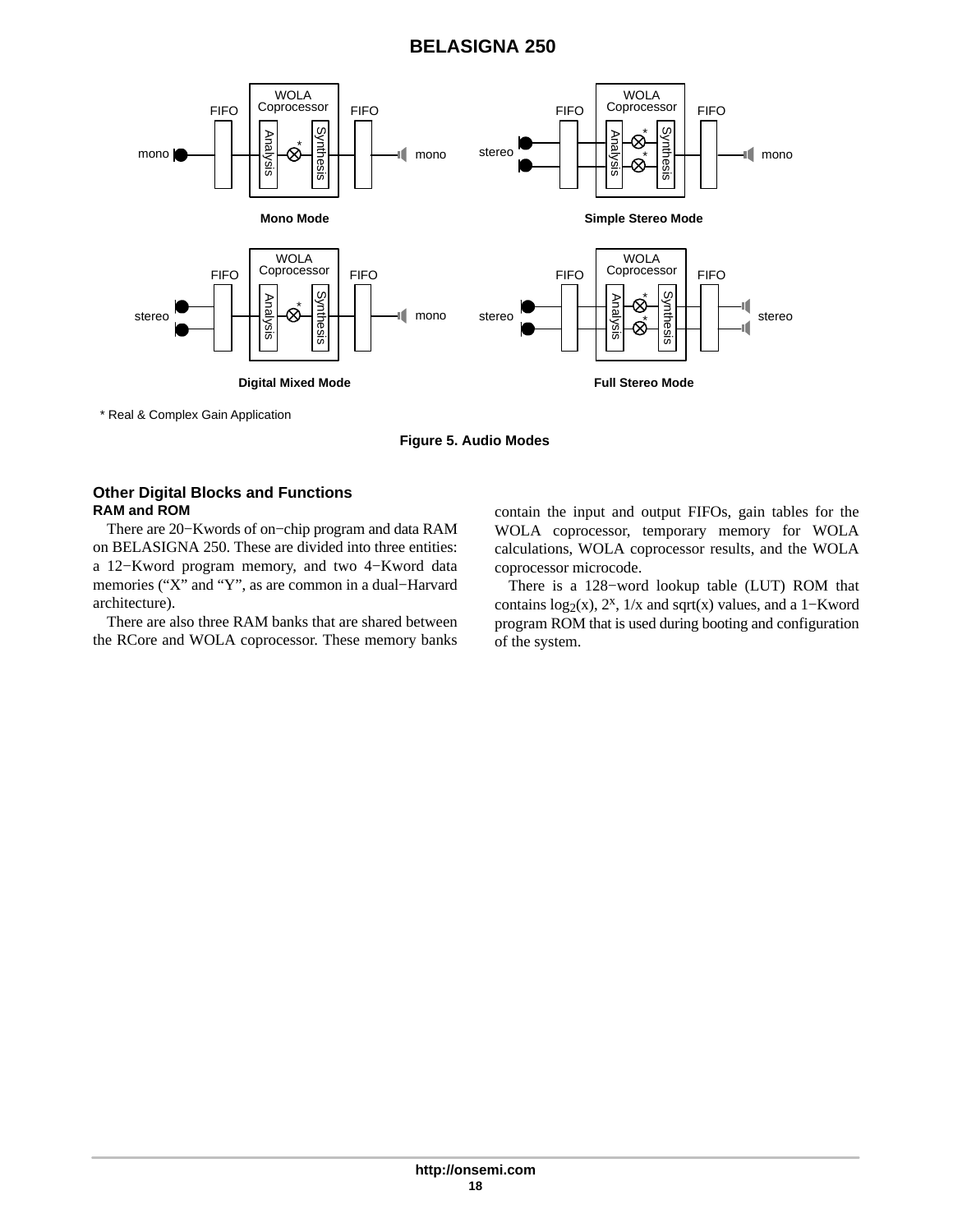

\* Real & Complex Gain Application

**Figure 5. Audio Modes**

## **Other Digital Blocks and Functions RAM and ROM**

There are 20−Kwords of on−chip program and data RAM on BELASIGNA 250. These are divided into three entities: a 12−Kword program memory, and two 4−Kword data memories ("X" and "Y", as are common in a dual−Harvard architecture).

There are also three RAM banks that are shared between the RCore and WOLA coprocessor. These memory banks contain the input and output FIFOs, gain tables for the WOLA coprocessor, temporary memory for WOLA calculations, WOLA coprocessor results, and the WOLA coprocessor microcode.

There is a 128−word lookup table (LUT) ROM that contains  $log_2(x)$ , 2<sup>x</sup>, 1/x and sqrt(x) values, and a 1–Kword program ROM that is used during booting and configuration of the system.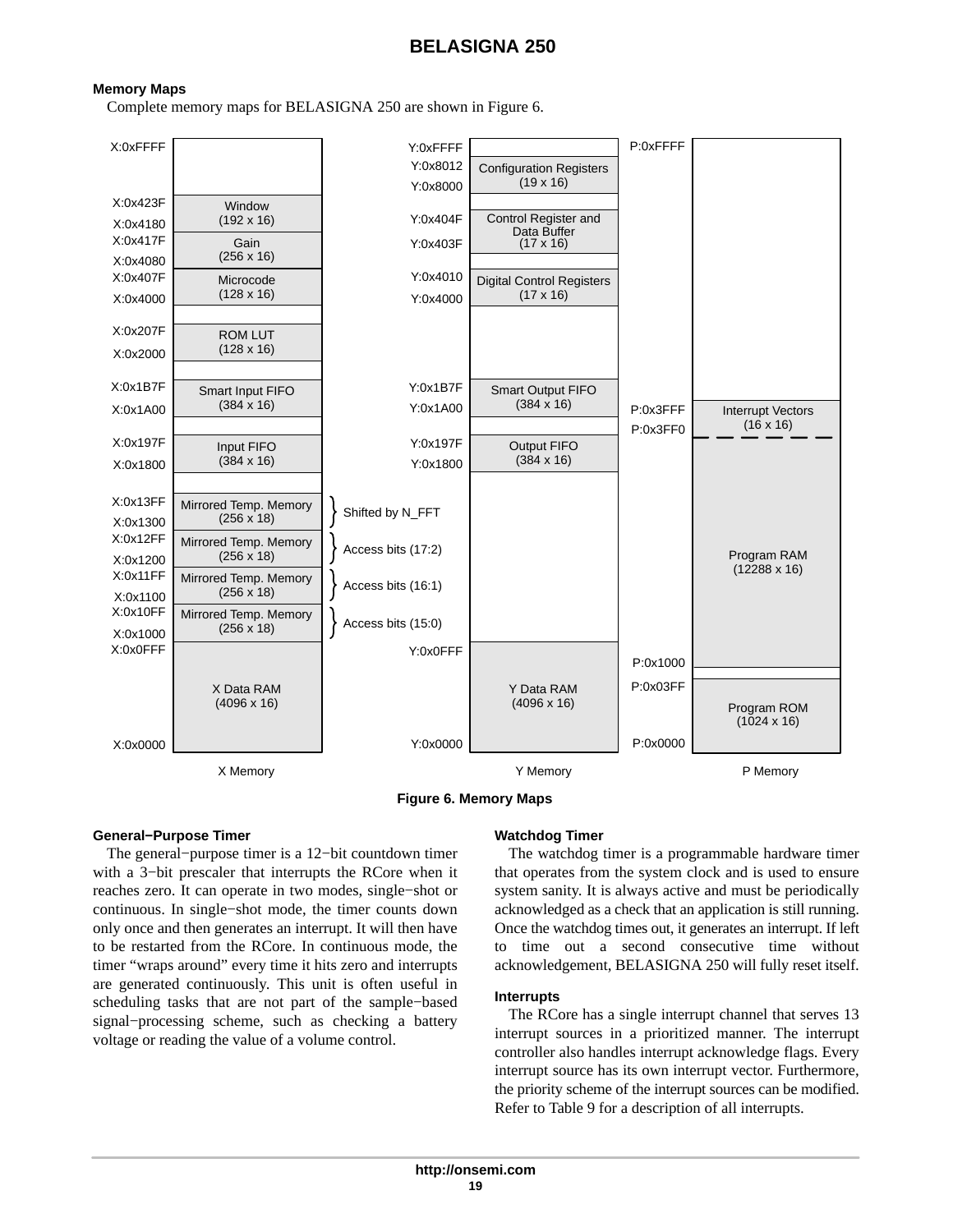#### **Memory Maps**

Complete memory maps for BELASIGNA 250 are shown in Figure 6.





#### **General−Purpose Timer**

The general−purpose timer is a 12−bit countdown timer with a 3−bit prescaler that interrupts the RCore when it reaches zero. It can operate in two modes, single−shot or continuous. In single−shot mode, the timer counts down only once and then generates an interrupt. It will then have to be restarted from the RCore. In continuous mode, the timer "wraps around" every time it hits zero and interrupts are generated continuously. This unit is often useful in scheduling tasks that are not part of the sample−based signal−processing scheme, such as checking a battery voltage or reading the value of a volume control.

### **Watchdog Timer**

The watchdog timer is a programmable hardware timer that operates from the system clock and is used to ensure system sanity. It is always active and must be periodically acknowledged as a check that an application is still running. Once the watchdog times out, it generates an interrupt. If left to time out a second consecutive time without acknowledgement, BELASIGNA 250 will fully reset itself.

#### **Interrupts**

The RCore has a single interrupt channel that serves 13 interrupt sources in a prioritized manner. The interrupt controller also handles interrupt acknowledge flags. Every interrupt source has its own interrupt vector. Furthermore, the priority scheme of the interrupt sources can be modified. Refer to Table [9](#page-19-0) for a description of all interrupts.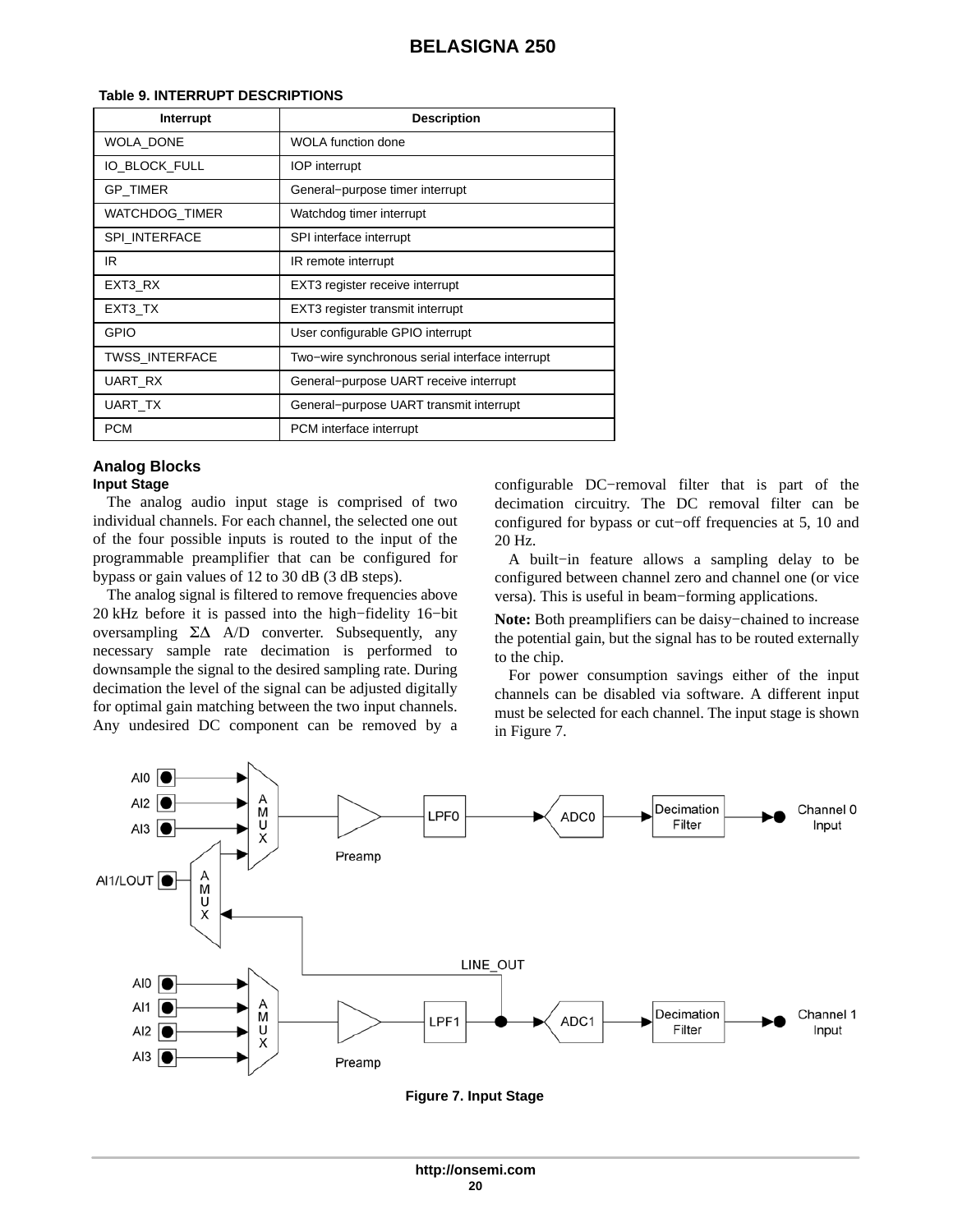| Interrupt             | <b>Description</b>                              |
|-----------------------|-------------------------------------------------|
| WOLA DONE             | <b>WOLA</b> function done                       |
| IO BLOCK FULL         | <b>IOP</b> interrupt                            |
| <b>GP TIMER</b>       | General-purpose timer interrupt                 |
| WATCHDOG_TIMER        | Watchdog timer interrupt                        |
| <b>SPI INTERFACE</b>  | SPI interface interrupt                         |
| IR                    | IR remote interrupt                             |
| EXT3 RX               | EXT3 register receive interrupt                 |
| EXT3_TX               | EXT3 register transmit interrupt                |
| GPIO                  | User configurable GPIO interrupt                |
| <b>TWSS INTERFACE</b> | Two-wire synchronous serial interface interrupt |
| UART RX               | General-purpose UART receive interrupt          |
| UART TX               | General-purpose UART transmit interrupt         |
| <b>PCM</b>            | PCM interface interrupt                         |

#### <span id="page-19-0"></span>**Table 9. INTERRUPT DESCRIPTIONS**

#### **Analog Blocks Input Stage**

The analog audio input stage is comprised of two individual channels. For each channel, the selected one out of the four possible inputs is routed to the input of the programmable preamplifier that can be configured for bypass or gain values of 12 to 30 dB (3 dB steps).

The analog signal is filtered to remove frequencies above 20 kHz before it is passed into the high−fidelity 16−bit oversampling  $\Sigma\Delta$  A/D converter. Subsequently, any necessary sample rate decimation is performed to downsample the signal to the desired sampling rate. During decimation the level of the signal can be adjusted digitally for optimal gain matching between the two input channels. Any undesired DC component can be removed by a configurable DC−removal filter that is part of the decimation circuitry. The DC removal filter can be configured for bypass or cut−off frequencies at 5, 10 and 20 Hz.

A built−in feature allows a sampling delay to be configured between channel zero and channel one (or vice versa). This is useful in beam−forming applications.

**Note:** Both preamplifiers can be daisy−chained to increase the potential gain, but the signal has to be routed externally to the chip.

For power consumption savings either of the input channels can be disabled via software. A different input must be selected for each channel. The input stage is shown in Figure 7.



**Figure 7. Input Stage**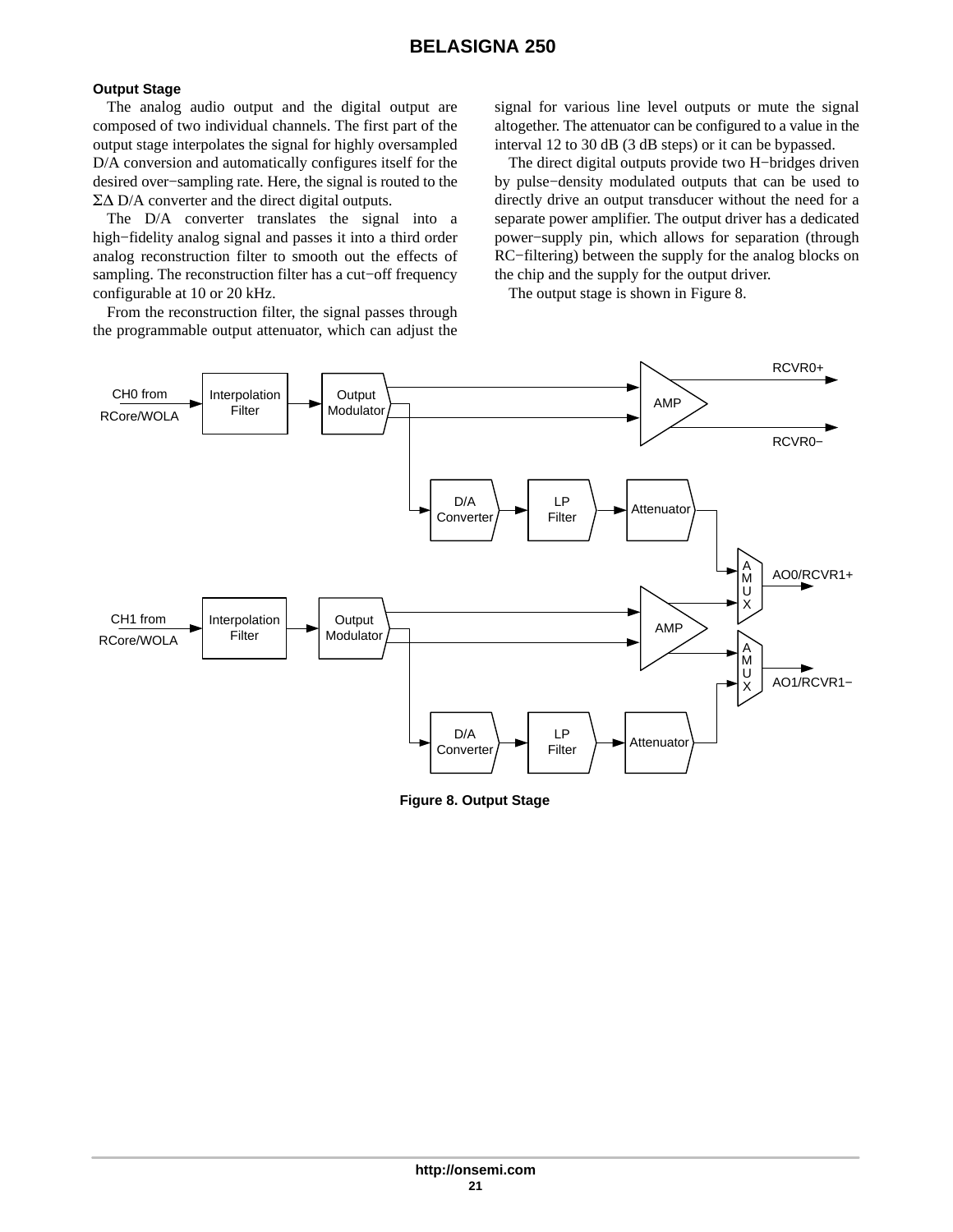### **Output Stage**

The analog audio output and the digital output are composed of two individual channels. The first part of the output stage interpolates the signal for highly oversampled D/A conversion and automatically configures itself for the desired over−sampling rate. Here, the signal is routed to the  $\Sigma\Delta$  D/A converter and the direct digital outputs.

The D/A converter translates the signal into a high−fidelity analog signal and passes it into a third order analog reconstruction filter to smooth out the effects of sampling. The reconstruction filter has a cut−off frequency configurable at 10 or 20 kHz.

From the reconstruction filter, the signal passes through the programmable output attenuator, which can adjust the

signal for various line level outputs or mute the signal altogether. The attenuator can be configured to a value in the interval 12 to 30 dB (3 dB steps) or it can be bypassed.

The direct digital outputs provide two H−bridges driven by pulse−density modulated outputs that can be used to directly drive an output transducer without the need for a separate power amplifier. The output driver has a dedicated power−supply pin, which allows for separation (through RC−filtering) between the supply for the analog blocks on the chip and the supply for the output driver.

The output stage is shown in Figure 8.



**Figure 8. Output Stage**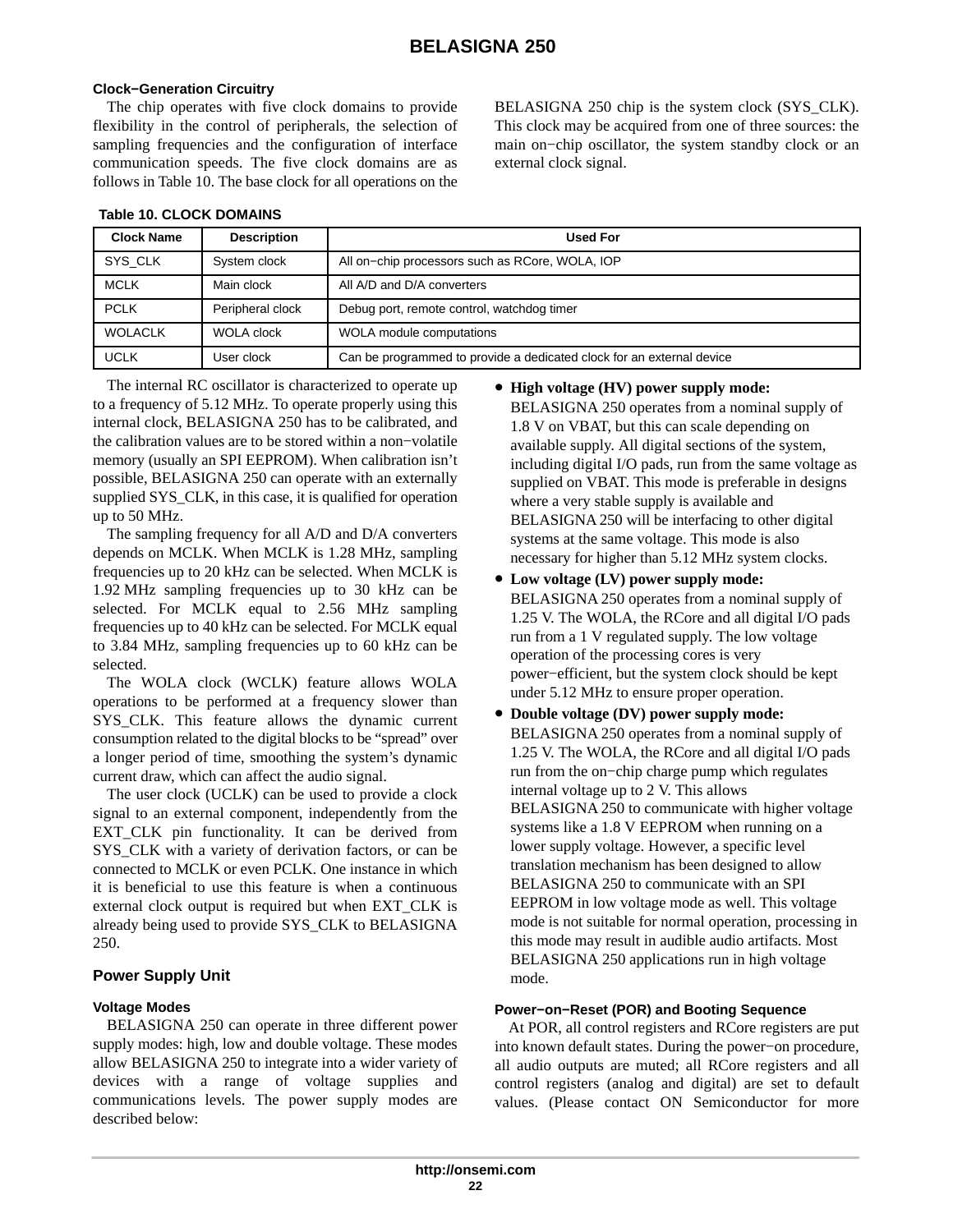## **Clock−Generation Circuitry**

The chip operates with five clock domains to provide flexibility in the control of peripherals, the selection of sampling frequencies and the configuration of interface communication speeds. The five clock domains are as follows in Table 10. The base clock for all operations on the BELASIGNA 250 chip is the system clock (SYS CLK). This clock may be acquired from one of three sources: the main on−chip oscillator, the system standby clock or an external clock signal.

| <b>Clock Name</b> | <b>Description</b> | <b>Used For</b>                                                       |
|-------------------|--------------------|-----------------------------------------------------------------------|
| SYS CLK           | System clock       | All on-chip processors such as RCore, WOLA, IOP                       |
| <b>MCLK</b>       | Main clock         | All A/D and D/A converters                                            |
| <b>PCLK</b>       | Peripheral clock   | Debug port, remote control, watchdog timer                            |
| <b>WOLACLK</b>    | <b>WOLA clock</b>  | WOLA module computations                                              |
| <b>UCLK</b>       | User clock         | Can be programmed to provide a dedicated clock for an external device |

#### **Table 10. CLOCK DOMAINS**

The internal RC oscillator is characterized to operate up to a frequency of 5.12 MHz. To operate properly using this internal clock, BELASIGNA 250 has to be calibrated, and the calibration values are to be stored within a non−volatile memory (usually an SPI EEPROM). When calibration isn't possible, BELASIGNA 250 can operate with an externally supplied SYS\_CLK, in this case, it is qualified for operation up to 50 MHz.

The sampling frequency for all A/D and D/A converters depends on MCLK. When MCLK is 1.28 MHz, sampling frequencies up to 20 kHz can be selected. When MCLK is 1.92 MHz sampling frequencies up to 30 kHz can be selected. For MCLK equal to 2.56 MHz sampling frequencies up to 40 kHz can be selected. For MCLK equal to 3.84 MHz, sampling frequencies up to 60 kHz can be selected.

The WOLA clock (WCLK) feature allows WOLA operations to be performed at a frequency slower than SYS CLK. This feature allows the dynamic current consumption related to the digital blocks to be "spread" over a longer period of time, smoothing the system's dynamic current draw, which can affect the audio signal.

The user clock (UCLK) can be used to provide a clock signal to an external component, independently from the EXT\_CLK pin functionality. It can be derived from SYS CLK with a variety of derivation factors, or can be connected to MCLK or even PCLK. One instance in which it is beneficial to use this feature is when a continuous external clock output is required but when EXT\_CLK is already being used to provide SYS\_CLK to BELASIGNA 250.

### **Power Supply Unit**

### **Voltage Modes**

BELASIGNA 250 can operate in three different power supply modes: high, low and double voltage. These modes allow BELASIGNA 250 to integrate into a wider variety of devices with a range of voltage supplies and communications levels. The power supply modes are described below:

#### • **High voltage (HV) power supply mode:**

BELASIGNA 250 operates from a nominal supply of 1.8 V on VBAT, but this can scale depending on available supply. All digital sections of the system, including digital I/O pads, run from the same voltage as supplied on VBAT. This mode is preferable in designs where a very stable supply is available and BELASIGNA 250 will be interfacing to other digital systems at the same voltage. This mode is also necessary for higher than 5.12 MHz system clocks.

- **Low voltage (LV) power supply mode:** BELASIGNA 250 operates from a nominal supply of 1.25 V. The WOLA, the RCore and all digital I/O pads run from a 1 V regulated supply. The low voltage operation of the processing cores is very power−efficient, but the system clock should be kept under 5.12 MHz to ensure proper operation.
- **Double voltage (DV) power supply mode:** BELASIGNA 250 operates from a nominal supply of 1.25 V. The WOLA, the RCore and all digital I/O pads run from the on−chip charge pump which regulates internal voltage up to 2 V. This allows BELASIGNA 250 to communicate with higher voltage systems like a 1.8 V EEPROM when running on a lower supply voltage. However, a specific level translation mechanism has been designed to allow BELASIGNA 250 to communicate with an SPI EEPROM in low voltage mode as well. This voltage mode is not suitable for normal operation, processing in this mode may result in audible audio artifacts. Most BELASIGNA 250 applications run in high voltage mode.

## **Power−on−Reset (POR) and Booting Sequence**

At POR, all control registers and RCore registers are put into known default states. During the power−on procedure, all audio outputs are muted; all RCore registers and all control registers (analog and digital) are set to default values. (Please contact ON Semiconductor for more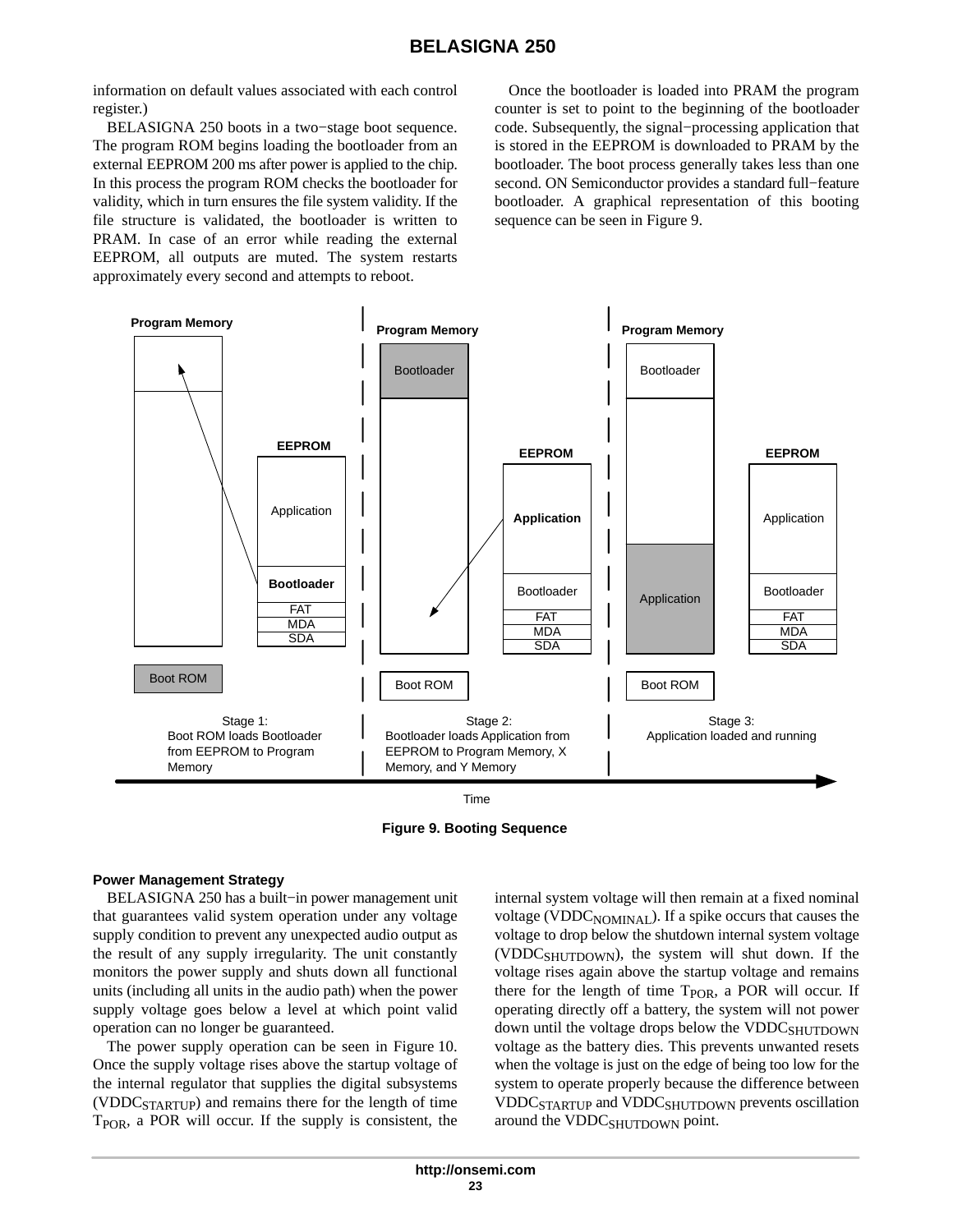information on default values associated with each control register.)

BELASIGNA 250 boots in a two−stage boot sequence. The program ROM begins loading the bootloader from an external EEPROM 200 ms after power is applied to the chip. In this process the program ROM checks the bootloader for validity, which in turn ensures the file system validity. If the file structure is validated, the bootloader is written to PRAM. In case of an error while reading the external EEPROM, all outputs are muted. The system restarts approximately every second and attempts to reboot.

Once the bootloader is loaded into PRAM the program counter is set to point to the beginning of the bootloader code. Subsequently, the signal−processing application that is stored in the EEPROM is downloaded to PRAM by the bootloader. The boot process generally takes less than one second. ON Semiconductor provides a standard full−feature bootloader. A graphical representation of this booting sequence can be seen in Figure 9.





**Figure 9. Booting Sequence**

#### **Power Management Strategy**

BELASIGNA 250 has a built−in power management unit that guarantees valid system operation under any voltage supply condition to prevent any unexpected audio output as the result of any supply irregularity. The unit constantly monitors the power supply and shuts down all functional units (including all units in the audio path) when the power supply voltage goes below a level at which point valid operation can no longer be guaranteed.

The power supply operation can be seen in Figure [10.](#page-23-0) Once the supply voltage rises above the startup voltage of the internal regulator that supplies the digital subsystems (VDDCSTARTUP) and remains there for the length of time T<sub>POR</sub>, a POR will occur. If the supply is consistent, the

internal system voltage will then remain at a fixed nominal voltage (VDDC<sub>NOMINAL</sub>). If a spike occurs that causes the voltage to drop below the shutdown internal system voltage (VDDCSHUTDOWN), the system will shut down. If the voltage rises again above the startup voltage and remains there for the length of time T<sub>POR</sub>, a POR will occur. If operating directly off a battery, the system will not power down until the voltage drops below the VDDCSHUTDOWN voltage as the battery dies. This prevents unwanted resets when the voltage is just on the edge of being too low for the system to operate properly because the difference between VDDC<sub>STARTUP</sub> and VDDC<sub>SHUTDOWN</sub> prevents oscillation around the VDDC<sub>SHUTDOWN</sub> point.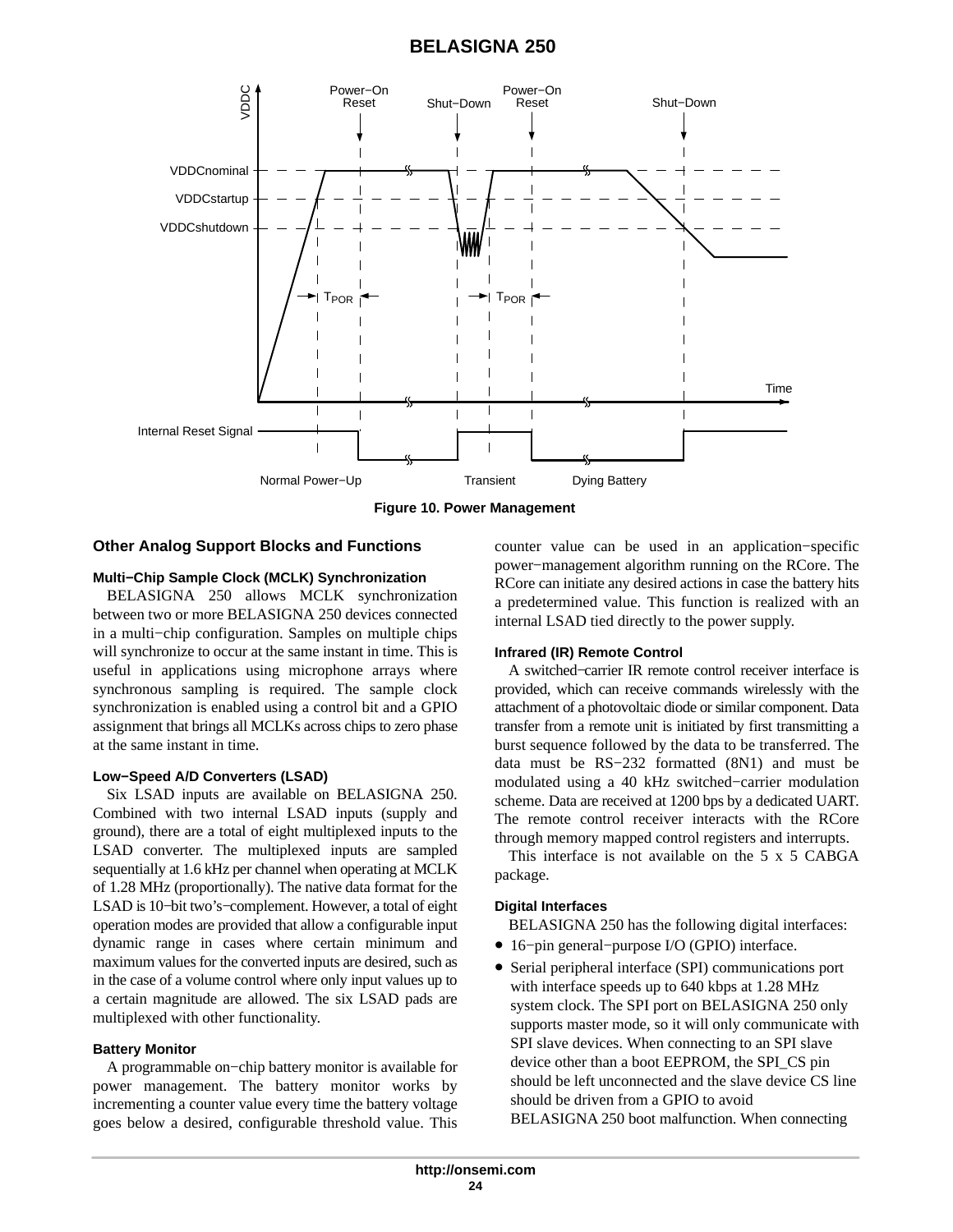<span id="page-23-0"></span>

**Figure 10. Power Management**

### **Other Analog Support Blocks and Functions**

#### **Multi−Chip Sample Clock (MCLK) Synchronization**

BELASIGNA 250 allows MCLK synchronization between two or more BELASIGNA 250 devices connected in a multi−chip configuration. Samples on multiple chips will synchronize to occur at the same instant in time. This is useful in applications using microphone arrays where synchronous sampling is required. The sample clock synchronization is enabled using a control bit and a GPIO assignment that brings all MCLKs across chips to zero phase at the same instant in time.

#### **Low−Speed A/D Converters (LSAD)**

Six LSAD inputs are available on BELASIGNA 250. Combined with two internal LSAD inputs (supply and ground), there are a total of eight multiplexed inputs to the LSAD converter. The multiplexed inputs are sampled sequentially at 1.6 kHz per channel when operating at MCLK of 1.28 MHz (proportionally). The native data format for the LSAD is 10−bit two's−complement. However, a total of eight operation modes are provided that allow a configurable input dynamic range in cases where certain minimum and maximum values for the converted inputs are desired, such as in the case of a volume control where only input values up to a certain magnitude are allowed. The six LSAD pads are multiplexed with other functionality.

#### **Battery Monitor**

A programmable on−chip battery monitor is available for power management. The battery monitor works by incrementing a counter value every time the battery voltage goes below a desired, configurable threshold value. This counter value can be used in an application−specific power−management algorithm running on the RCore. The RCore can initiate any desired actions in case the battery hits a predetermined value. This function is realized with an internal LSAD tied directly to the power supply.

#### **Infrared (IR) Remote Control**

A switched−carrier IR remote control receiver interface is provided, which can receive commands wirelessly with the attachment of a photovoltaic diode or similar component. Data transfer from a remote unit is initiated by first transmitting a burst sequence followed by the data to be transferred. The data must be RS−232 formatted (8N1) and must be modulated using a 40 kHz switched−carrier modulation scheme. Data are received at 1200 bps by a dedicated UART. The remote control receiver interacts with the RCore through memory mapped control registers and interrupts.

This interface is not available on the 5 x 5 CABGA package.

#### **Digital Interfaces**

BELASIGNA 250 has the following digital interfaces:

- 16−pin general−purpose I/O (GPIO) interface.
- Serial peripheral interface (SPI) communications port with interface speeds up to 640 kbps at 1.28 MHz system clock. The SPI port on BELASIGNA 250 only supports master mode, so it will only communicate with SPI slave devices. When connecting to an SPI slave device other than a boot EEPROM, the SPI\_CS pin should be left unconnected and the slave device CS line should be driven from a GPIO to avoid BELASIGNA 250 boot malfunction. When connecting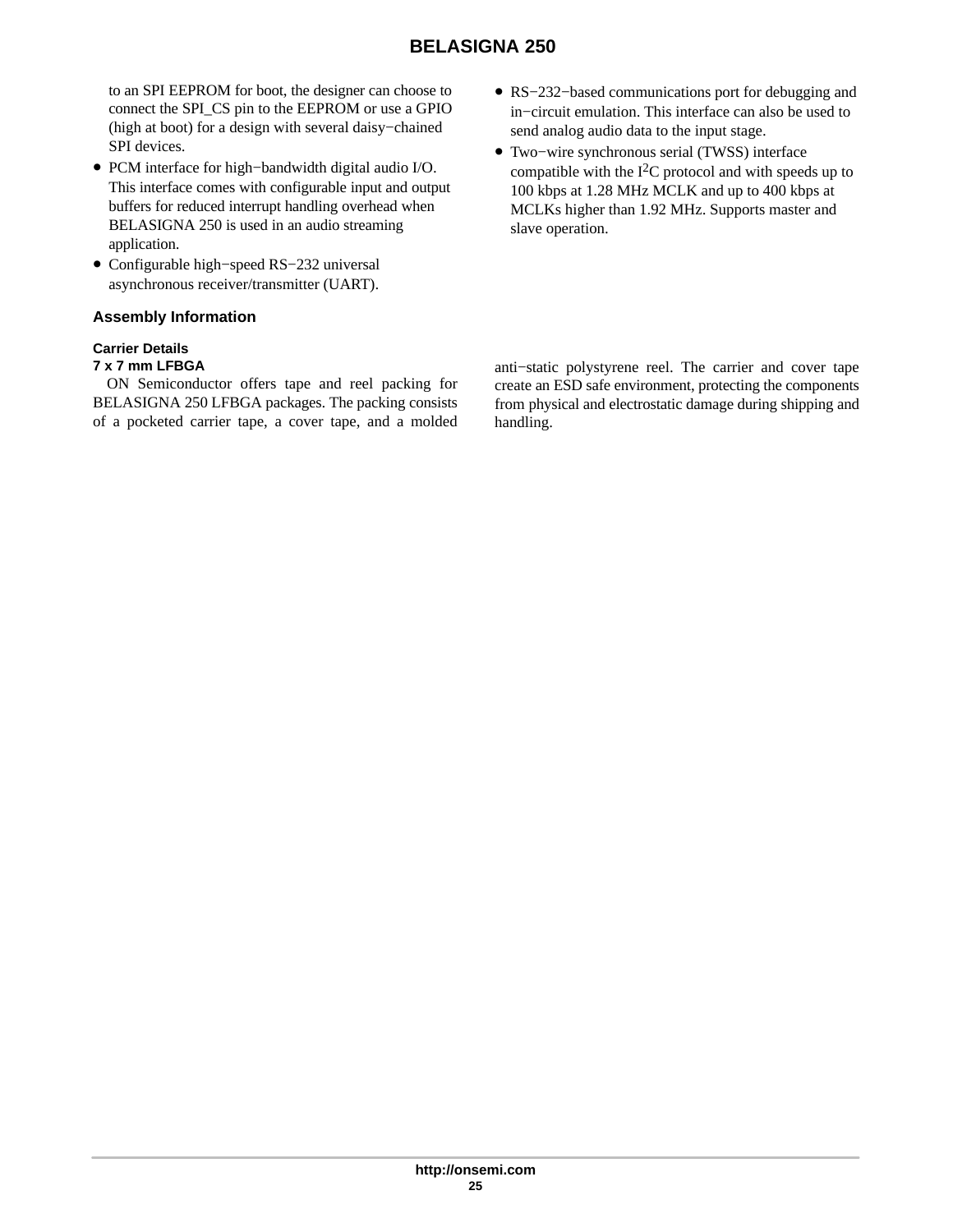to an SPI EEPROM for boot, the designer can choose to connect the SPI\_CS pin to the EEPROM or use a GPIO (high at boot) for a design with several daisy−chained SPI devices.

- PCM interface for high−bandwidth digital audio I/O. This interface comes with configurable input and output buffers for reduced interrupt handling overhead when BELASIGNA 250 is used in an audio streaming application.
- Configurable high−speed RS−232 universal asynchronous receiver/transmitter (UART).

## **Assembly Information**

## **Carrier Details**

## **7 x 7 mm LFBGA**

ON Semiconductor offers tape and reel packing for BELASIGNA 250 LFBGA packages. The packing consists of a pocketed carrier tape, a cover tape, and a molded

- RS−232−based communications port for debugging and in−circuit emulation. This interface can also be used to send analog audio data to the input stage.
- Two−wire synchronous serial (TWSS) interface compatible with the  $I<sup>2</sup>C$  protocol and with speeds up to 100 kbps at 1.28 MHz MCLK and up to 400 kbps at MCLKs higher than 1.92 MHz. Supports master and slave operation.

anti−static polystyrene reel. The carrier and cover tape create an ESD safe environment, protecting the components from physical and electrostatic damage during shipping and handling.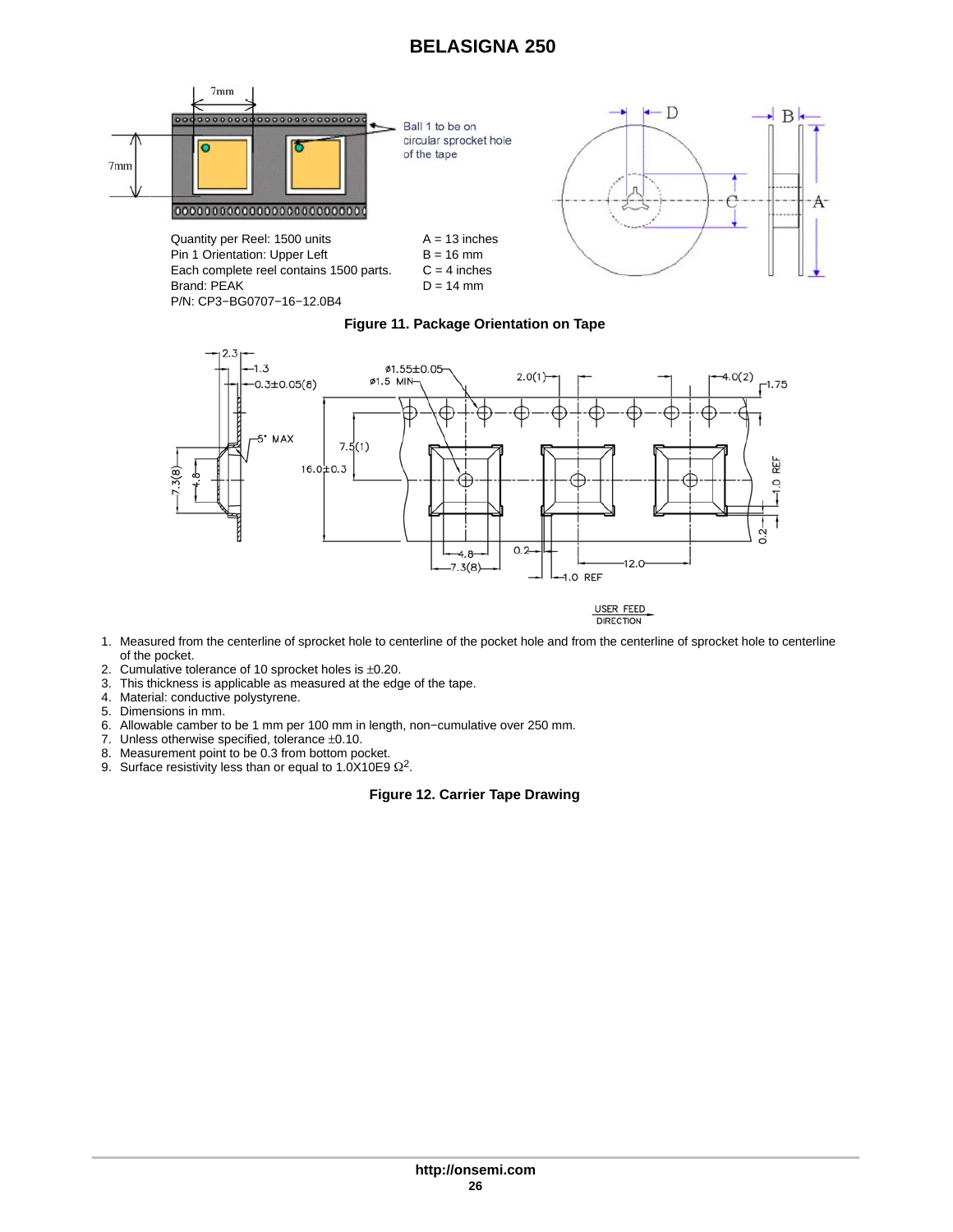





- 1. Measured from the centerline of sprocket hole to centerline of the pocket hole and from the centerline of sprocket hole to centerline of the pocket.
- 2. Cumulative tolerance of 10 sprocket holes is ±0.20.
- 3. This thickness is applicable as measured at the edge of the tape.
- 4. Material: conductive polystyrene.
- 5. Dimensions in mm.
- 6. Allowable camber to be 1 mm per 100 mm in length, non−cumulative over 250 mm.
- 7. Unless otherwise specified, tolerance ±0.10.
- 8. Measurement point to be 0.3 from bottom pocket.
- 9. Surface resistivity less than or equal to 1.0X10E9  $\Omega^2$ .

#### **Figure 12. Carrier Tape Drawing**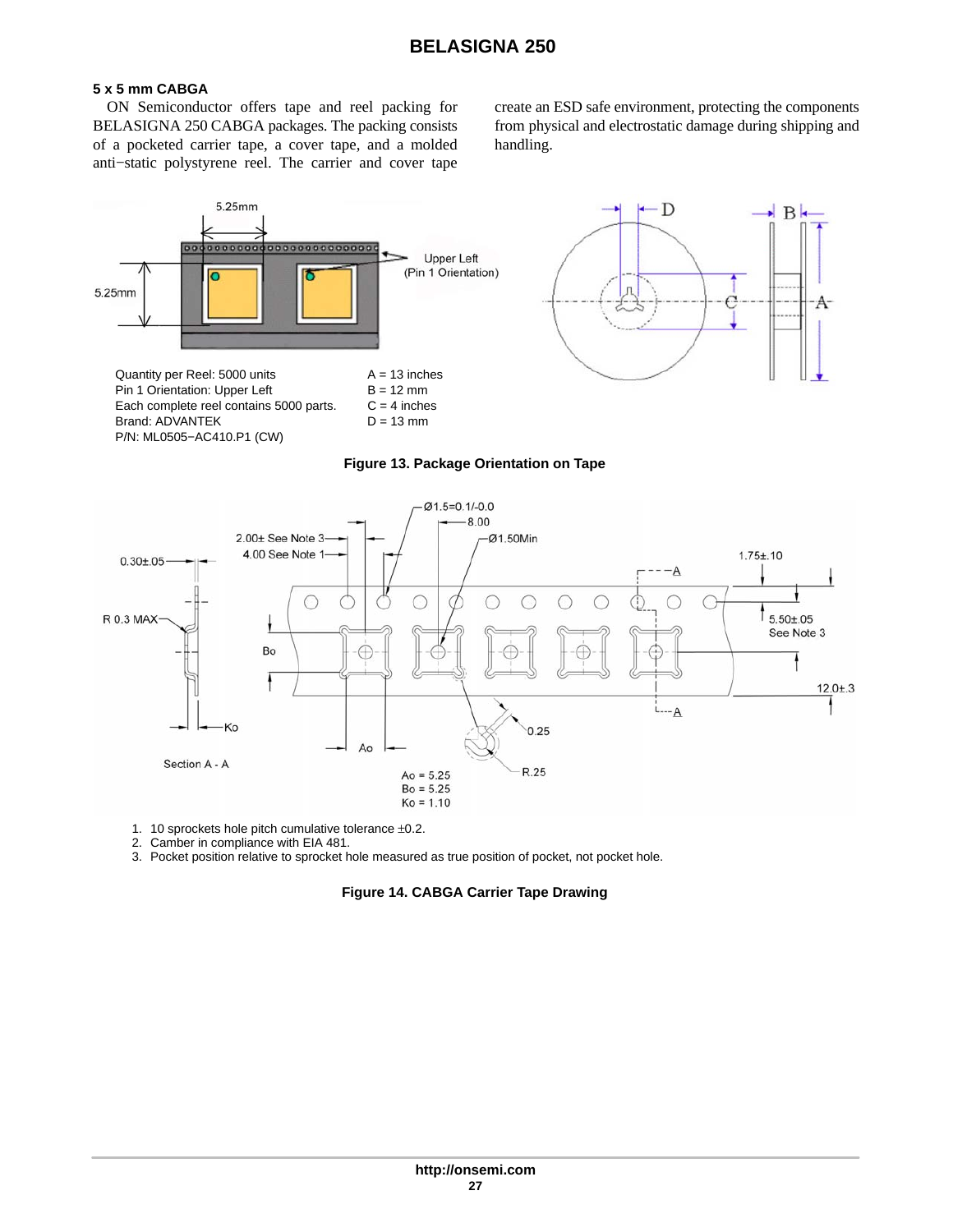## **5 x 5 mm CABGA**

ON Semiconductor offers tape and reel packing for BELASIGNA 250 CABGA packages. The packing consists of a pocketed carrier tape, a cover tape, and a molded anti−static polystyrene reel. The carrier and cover tape

create an ESD safe environment, protecting the components from physical and electrostatic damage during shipping and handling.







1. 10 sprockets hole pitch cumulative tolerance ±0.2.

2. Camber in compliance with EIA 481.

3. Pocket position relative to sprocket hole measured as true position of pocket, not pocket hole.

### **Figure 14. CABGA Carrier Tape Drawing**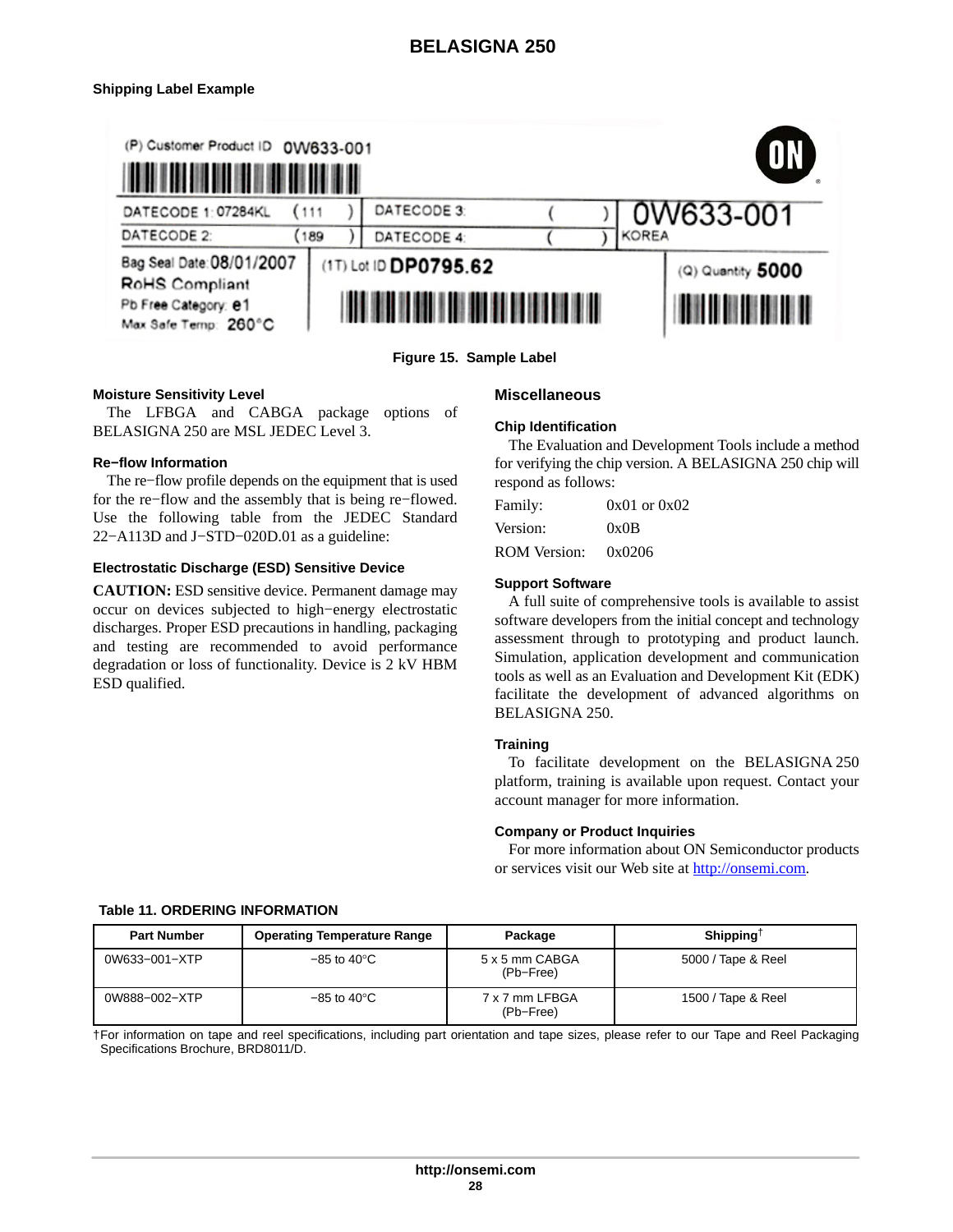### <span id="page-27-0"></span>**Shipping Label Example**



**Figure 15. Sample Label**

#### **Moisture Sensitivity Level**

The LFBGA and CABGA package options of BELASIGNA 250 are MSL JEDEC Level 3.

#### **Re−flow Information**

The re−flow profile depends on the equipment that is used for the re−flow and the assembly that is being re−flowed. Use the following table from the JEDEC Standard 22–A113D and J–STD–020D.01 as a guideline:

#### **Electrostatic Discharge (ESD) Sensitive Device**

**CAUTION:** ESD sensitive device. Permanent damage may occur on devices subjected to high−energy electrostatic discharges. Proper ESD precautions in handling, packaging and testing are recommended to avoid performance degradation or loss of functionality. Device is 2 kV HBM ESD qualified.

#### **Miscellaneous**

#### **Chip Identification**

The Evaluation and Development Tools include a method for verifying the chip version. A BELASIGNA 250 chip will respond as follows:

| Family:             | $0x01$ or $0x02$ |
|---------------------|------------------|
| Version:            | 0x0B             |
| <b>ROM Version:</b> | 0x0206           |

#### **Support Software**

A full suite of comprehensive tools is available to assist software developers from the initial concept and technology assessment through to prototyping and product launch. Simulation, application development and communication tools as well as an Evaluation and Development Kit (EDK) facilitate the development of advanced algorithms on BELASIGNA 250.

#### **Training**

To facilitate development on the BELASIGNA 250 platform, training is available upon request. Contact your account manager for more information.

#### **Company or Product Inquiries**

For more information about ON Semiconductor products or services visit our Web site at [http://onsemi.com.](http://onsemi.com)

#### **Table 11. ORDERING INFORMATION**

| <b>Part Number</b> | <b>Operating Temperature Range</b> | Package                     | Shipping <sup><math>\uparrow</math></sup> |
|--------------------|------------------------------------|-----------------------------|-------------------------------------------|
| 0W633-001-XTP      | $-85$ to $40^{\circ}$ C            | 5 x 5 mm CABGA<br>(Pb-Free) | 5000 / Tape & Reel                        |
| 0W888-002-XTP      | $-85$ to 40 $^{\circ}$ C           | 7 x 7 mm LFBGA<br>(Pb-Free) | 1500 / Tape & Reel                        |

†For information on tape and reel specifications, including part orientation and tape sizes, please refer to our Tape and Reel Packaging Specifications Brochure, BRD8011/D.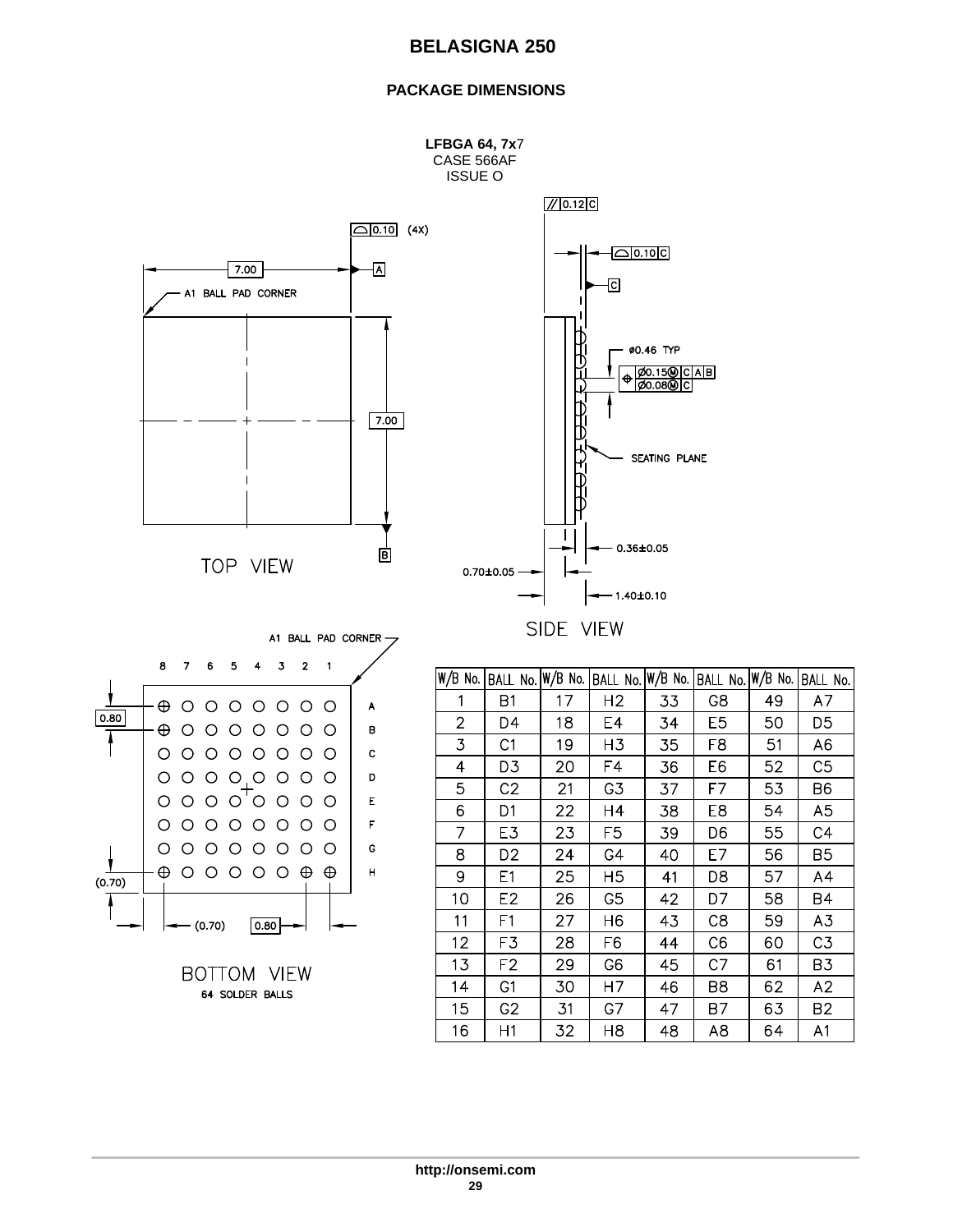## **PACKAGE DIMENSIONS**



SIDE VIEW



| W/B No.        | BALL No. W/B No. |    | BALL No.       | $W/B$ No. | BALL No. W/B No. |    | BALL No.       |
|----------------|------------------|----|----------------|-----------|------------------|----|----------------|
| 1              | Β1               | 17 | H <sub>2</sub> | 33        | G8               | 49 | A7             |
| $\overline{2}$ | D4               | 18 | E4             | 34        | E <sub>5</sub>   | 50 | D5             |
| 3              | C1               | 19 | H3             | 35        | F8               | 51 | A6             |
| 4              | D3               | 20 | F4             | 36        | E6               | 52 | C <sub>5</sub> |
| 5              | C <sub>2</sub>   | 21 | G3             | 37        | F7               | 53 | B6             |
| 6              | D1               | 22 | H4             | 38        | E8               | 54 | A5             |
| 7              | E3               | 23 | F <sub>5</sub> | 39        | D6               | 55 | C4             |
| 8              | D <sub>2</sub>   | 24 | G4             | 40        | E7               | 56 | B <sub>5</sub> |
| 9              | E1               | 25 | H <sub>5</sub> | 41        | D8               | 57 | A4             |
| 10             | E2               | 26 | G <sub>5</sub> | 42        | D7               | 58 | B4             |
| 11             | F1               | 27 | H <sub>6</sub> | 43        | C <sub>8</sub>   | 59 | A3             |
| 12             | F3               | 28 | F6             | 44        | C <sub>6</sub>   | 60 | C <sub>3</sub> |
| 13             | F <sub>2</sub>   | 29 | G <sub>6</sub> | 45        | C7               | 61 | B3             |
| 14             | G1               | 30 | Η7             | 46        | B8               | 62 | A2             |
| 15             | G <sub>2</sub>   | 31 | G7             | 47        | B7               | 63 | B <sub>2</sub> |
| 16             | Η1               | 32 | H8             | 48        | A8               | 64 | A <sub>1</sub> |